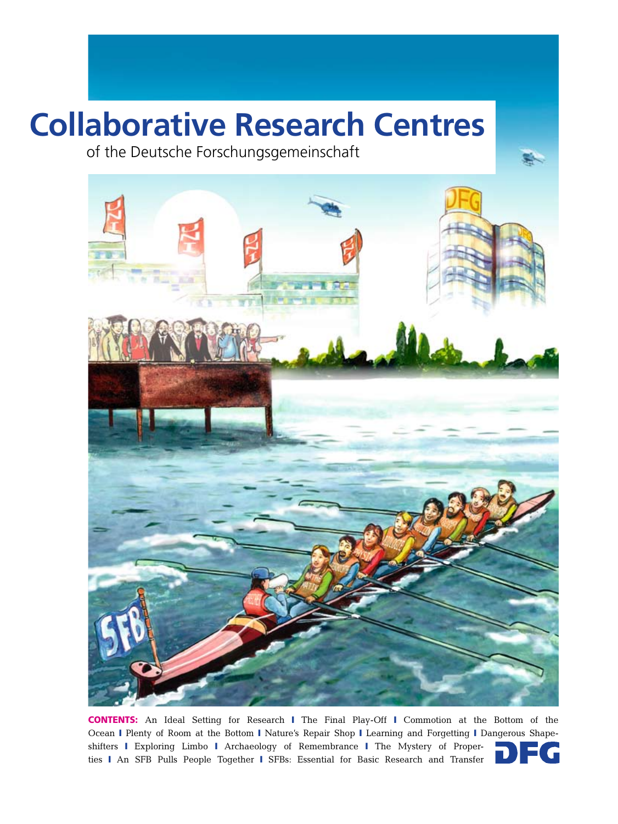# **Collaborative Research Centres**

of the Deutsche Forschungsgemeinschaft



CONTENTS: An Ideal Setting for Research ❙ The Final Play-Off ❙ Commotion at the Bottom of the Ocean I Plenty of Room at the Bottom I Nature's Repair Shop I Learning and Forgetting I Dangerous Shapeshifters I Exploring Limbo I Archaeology of Remembrance I The Mystery of Properties I An SFB Pulls People Together I SFBs: Essential for Basic Research and Transfer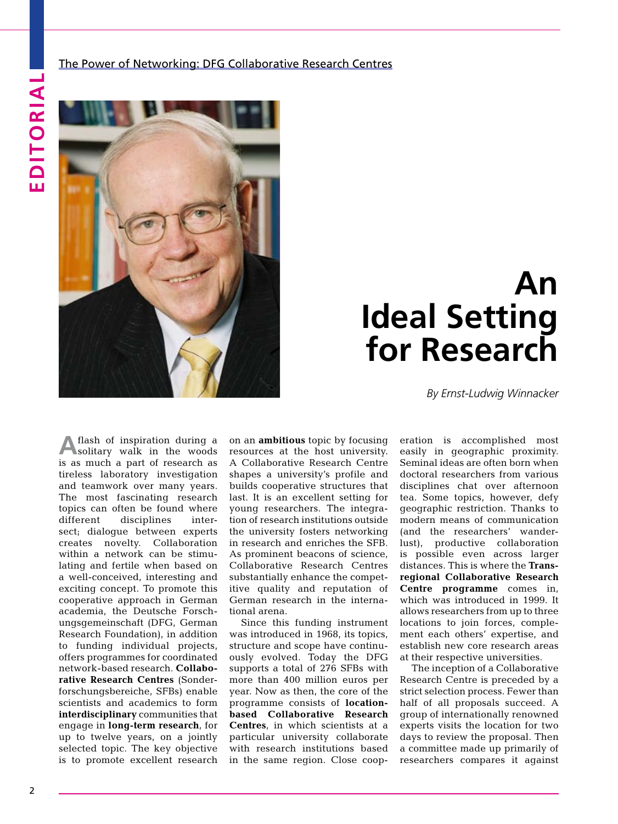The Power of Networking: DFG Collaborative Research Centres



## **An Ideal Setting for Research**

*By Ernst-Ludwig Winnacker*

**A** flash of inspiration during a solitary walk in the woods is as much a part of research as tireless laboratory investigation and teamwork over many years. The most fascinating research topics can often be found where different disciplines intersect; dialogue between experts creates novelty. Collaboration within a network can be stimulating and fertile when based on a well-conceived, interesting and exciting concept. To promote this cooperative approach in German academia, the Deutsche Forschungsgemeinschaft (DFG, German Research Foundation), in addition to funding individual projects, offers programmes for coordinated network-based research. **Collaborative Research Centres** (Sonderforschungsbereiche, SFBs) enable scientists and academics to form **interdisciplinary** communities that engage in **long-term research**, for up to twelve years, on a jointly selected topic. The key objective is to promote excellent research

on an **ambitious** topic by focusing resources at the host university. A Collaborative Research Centre shapes a university's profile and builds cooperative structures that last. It is an excellent setting for young researchers. The integration of research institutions outside the university fosters networking in research and enriches the SFB. As prominent beacons of science, Collaborative Research Centres substantially enhance the competitive quality and reputation of German research in the international arena.

Since this funding instrument was introduced in 1968, its topics, structure and scope have continuously evolved. Today the DFG supports a total of 276 SFBs with more than 400 million euros per year. Now as then, the core of the programme consists of **locationbased Collaborative Research Centres**, in which scientists at a particular university collaborate with research institutions based in the same region. Close cooperation is accomplished most easily in geographic proximity. Seminal ideas are often born when doctoral researchers from various disciplines chat over afternoon tea. Some topics, however, defy geographic restriction. Thanks to modern means of communication (and the researchers' wanderlust), productive collaboration is possible even across larger distances. This is where the **Transregional Collaborative Research Centre programme** comes in, which was introduced in 1999. It allows researchers from up to three locations to join forces, complement each others' expertise, and establish new core research areas at their respective universities.

The inception of a Collaborative Research Centre is preceded by a strict selection process. Fewer than half of all proposals succeed. A group of internationally renowned experts visits the location for two days to review the proposal. Then a committee made up primarily of researchers compares it against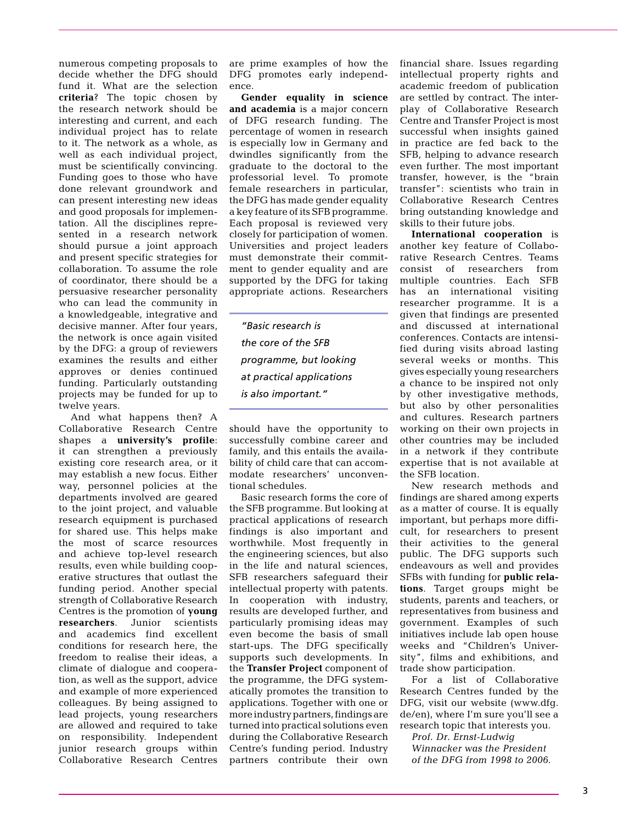numerous competing proposals to decide whether the DFG should fund it. What are the selection **criteria**? The topic chosen by the research network should be interesting and current, and each individual project has to relate to it. The network as a whole, as well as each individual project, must be scientifically convincing. Funding goes to those who have done relevant groundwork and can present interesting new ideas and good proposals for implementation. All the disciplines represented in a research network should pursue a joint approach and present specific strategies for collaboration. To assume the role of coordinator, there should be a persuasive researcher personality who can lead the community in a knowledgeable, integrative and decisive manner. After four years, the network is once again visited by the DFG: a group of reviewers examines the results and either approves or denies continued funding. Particularly outstanding projects may be funded for up to twelve years.

And what happens then? A Collaborative Research Centre shapes a **university's profile**: it can strengthen a previously existing core research area, or it may establish a new focus. Either way, personnel policies at the departments involved are geared to the joint project, and valuable research equipment is purchased for shared use. This helps make the most of scarce resources and achieve top-level research results, even while building cooperative structures that outlast the funding period. Another special strength of Collaborative Research Centres is the promotion of **young researchers**. Junior scientists and academics find excellent conditions for research here, the freedom to realise their ideas, a climate of dialogue and cooperation, as well as the support, advice and example of more experienced colleagues. By being assigned to lead projects, young researchers are allowed and required to take on responsibility. Independent junior research groups within Collaborative Research Centres

are prime examples of how the DFG promotes early independence.

**Gender equality in science and academia** is a major concern of DFG research funding. The percentage of women in research is especially low in Germany and dwindles significantly from the graduate to the doctoral to the professorial level. To promote female researchers in particular, the DFG has made gender equality a key feature of its SFB programme. Each proposal is reviewed very closely for participation of women. Universities and project leaders must demonstrate their commitment to gender equality and are supported by the DFG for taking appropriate actions. Researchers

*"Basic research is the core of the SFB programme, but looking at practical applications is also important."*

should have the opportunity to successfully combine career and family, and this entails the availability of child care that can accommodate researchers' unconventional schedules.

Basic research forms the core of the SFB programme. But looking at practical applications of research findings is also important and worthwhile. Most frequently in the engineering sciences, but also in the life and natural sciences, SFB researchers safeguard their intellectual property with patents. In cooperation with industry, results are developed further, and particularly promising ideas may even become the basis of small start-ups. The DFG specifically supports such developments. In the **Transfer Project** component of the programme, the DFG systematically promotes the transition to applications. Together with one or more industry partners, findings are turned into practical solutions even during the Collaborative Research Centre's funding period. Industry partners contribute their own

financial share. Issues regarding intellectual property rights and academic freedom of publication are settled by contract. The interplay of Collaborative Research Centre and Transfer Project is most successful when insights gained in practice are fed back to the SFB, helping to advance research even further. The most important transfer, however, is the "brain transfer": scientists who train in Collaborative Research Centres bring outstanding knowledge and skills to their future jobs.

**International cooperation** is another key feature of Collaborative Research Centres. Teams consist of researchers from multiple countries. Each SFB has an international visiting researcher programme. It is a given that findings are presented and discussed at international conferences. Contacts are intensified during visits abroad lasting several weeks or months. This gives especially young researchers a chance to be inspired not only by other investigative methods, but also by other personalities and cultures. Research partners working on their own projects in other countries may be included in a network if they contribute expertise that is not available at the SFB location.

New research methods and findings are shared among experts as a matter of course. It is equally important, but perhaps more difficult, for researchers to present their activities to the general public. The DFG supports such endeavours as well and provides SFBs with funding for **public relations**. Target groups might be students, parents and teachers, or representatives from business and government. Examples of such initiatives include lab open house weeks and "Children's University", films and exhibitions, and trade show participation.

For a list of Collaborative Research Centres funded by the DFG, visit our website [\(www.dfg.](http://www.dfg.de/en) [de/en](http://www.dfg.de/en)), where I'm sure you'll see a research topic that interests you.

*Prof. Dr. Ernst-Ludwig Winnacker was the President of the DFG from 1998 to 2006.*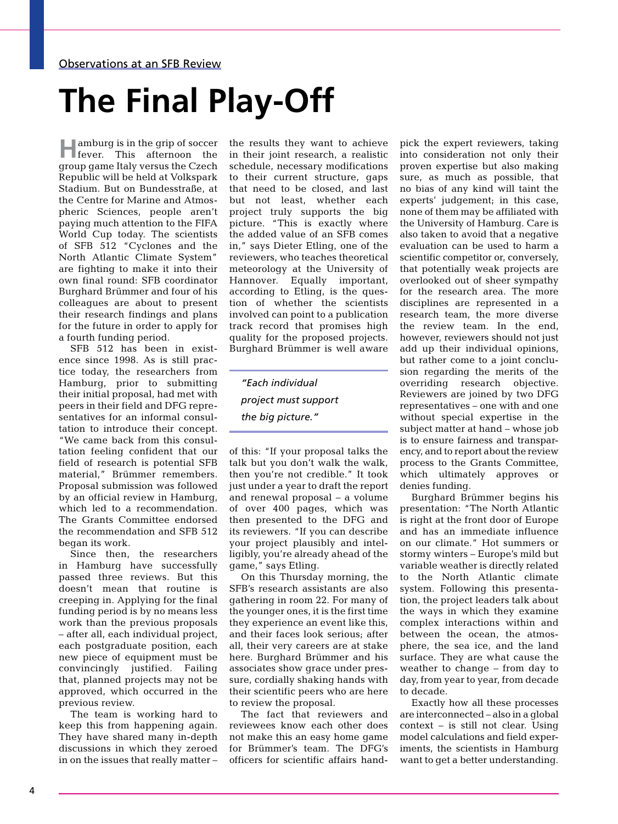#### Observations at an SFB Review

# **The Final Play-Off**

**Hamburg is in the grip of soccer**<br>**H**ever. This afternoon the This afternoon the group game Italy versus the Czech Republic will be held at Volkspark Stadium. But on Bundesstraße, at the Centre for Marine and Atmospheric Sciences, people aren't paying much attention to the FIFA World Cup today. The scientists of SFB 512 "Cyclones and the North Atlantic Climate System" are fighting to make it into their own final round: SFB coordinator Burghard Brümmer and four of his colleagues are about to present their research findings and plans for the future in order to apply for a fourth funding period.

SFB 512 has been in existence since 1998. As is still practice today, the researchers from Hamburg, prior to submitting their initial proposal, had met with peers in their field and DFG representatives for an informal consultation to introduce their concept. "We came back from this consultation feeling confident that our field of research is potential SFB material," Brümmer remembers. Proposal submission was followed by an official review in Hamburg, which led to a recommendation. The Grants Committee endorsed the recommendation and SFB 512 began its work.

Since then, the researchers in Hamburg have successfully passed three reviews. But this doesn't mean that routine is creeping in. Applying for the final funding period is by no means less work than the previous proposals – after all, each individual project, each postgraduate position, each new piece of equipment must be convincingly justified. Failing that, planned projects may not be approved, which occurred in the previous review.

The team is working hard to keep this from happening again. They have shared many in-depth discussions in which they zeroed in on the issues that really matter –

the results they want to achieve in their joint research, a realistic schedule, necessary modifications to their current structure, gaps that need to be closed, and last but not least, whether each project truly supports the big picture. "This is exactly where the added value of an SFB comes in," says Dieter Etling, one of the reviewers, who teaches theoretical meteorology at the University of Hannover. Equally important, according to Etling, is the question of whether the scientists involved can point to a publication track record that promises high quality for the proposed projects. Burghard Brümmer is well aware

*"Each individual project must support the big picture."*

of this: "If your proposal talks the talk but you don't walk the walk, then you're not credible." It took just under a year to draft the report and renewal proposal – a volume of over 400 pages, which was then presented to the DFG and its reviewers. "If you can describe your project plausibly and intelligibly, you're already ahead of the game," says Etling.

On this Thursday morning, the SFB's research assistants are also gathering in room 22. For many of the younger ones, it is the first time they experience an event like this, and their faces look serious; after all, their very careers are at stake here. Burghard Brümmer and his associates show grace under pressure, cordially shaking hands with their scientific peers who are here to review the proposal.

The fact that reviewers and reviewees know each other does not make this an easy home game for Brümmer's team. The DFG's officers for scientific affairs handpick the expert reviewers, taking into consideration not only their proven expertise but also making sure, as much as possible, that no bias of any kind will taint the experts' judgement; in this case, none of them may be affiliated with the University of Hamburg. Care is also taken to avoid that a negative evaluation can be used to harm a scientific competitor or, conversely, that potentially weak projects are overlooked out of sheer sympathy for the research area. The more disciplines are represented in a research team, the more diverse the review team. In the end, however, reviewers should not just add up their individual opinions, but rather come to a joint conclusion regarding the merits of the overriding research objective. Reviewers are joined by two DFG representatives – one with and one without special expertise in the subject matter at hand – whose job is to ensure fairness and transparency, and to report about the review process to the Grants Committee, which ultimately approves or denies funding.

Burghard Brümmer begins his presentation: "The North Atlantic is right at the front door of Europe and has an immediate influence on our climate." Hot summers or stormy winters – Europe's mild but variable weather is directly related to the North Atlantic climate system. Following this presentation, the project leaders talk about the ways in which they examine complex interactions within and between the ocean, the atmosphere, the sea ice, and the land surface. They are what cause the weather to change – from day to day, from year to year, from decade to decade.

Exactly how all these processes are interconnected – also in a global context – is still not clear. Using model calculations and field experiments, the scientists in Hamburg want to get a better understanding.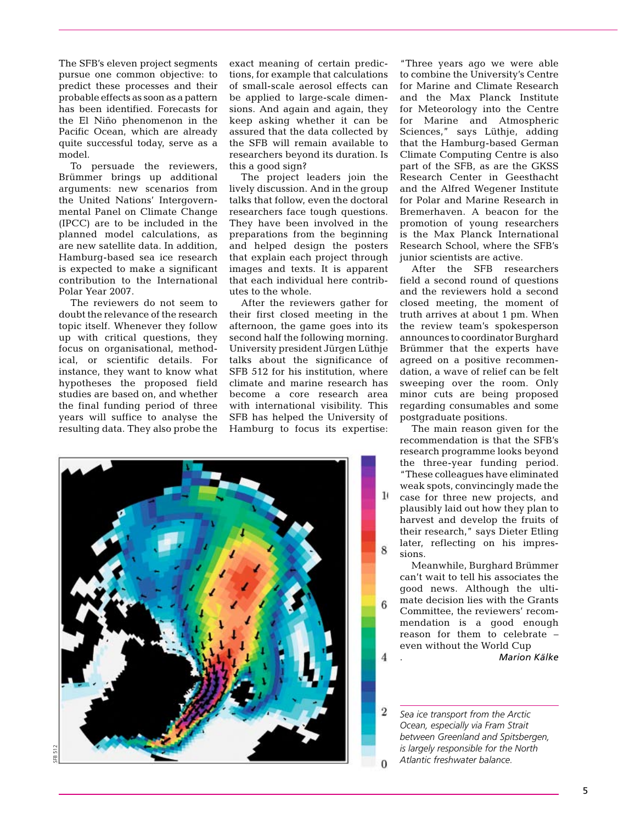The SFB's eleven project segments pursue one common objective: to predict these processes and their probable effects as soon as a pattern has been identified. Forecasts for the El Niño phenomenon in the Pacific Ocean, which are already quite successful today, serve as a model.

To persuade the reviewers, Brümmer brings up additional arguments: new scenarios from the United Nations' Intergovernmental Panel on Climate Change (IPCC) are to be included in the planned model calculations, as are new satellite data. In addition, Hamburg-based sea ice research is expected to make a significant contribution to the International Polar Year 2007.

The reviewers do not seem to doubt the relevance of the research topic itself. Whenever they follow up with critical questions, they focus on organisational, methodical, or scientific details. For instance, they want to know what hypotheses the proposed field studies are based on, and whether the final funding period of three years will suffice to analyse the resulting data. They also probe the

exact meaning of certain predictions, for example that calculations of small-scale aerosol effects can be applied to large-scale dimensions. And again and again, they keep asking whether it can be assured that the data collected by the SFB will remain available to researchers beyond its duration. Is this a good sign?

The project leaders join the lively discussion. And in the group talks that follow, even the doctoral researchers face tough questions. They have been involved in the preparations from the beginning and helped design the posters that explain each project through images and texts. It is apparent that each individual here contributes to the whole.

After the reviewers gather for their first closed meeting in the afternoon, the game goes into its second half the following morning. University president Jürgen Lüthje talks about the significance of SFB 512 for his institution, where climate and marine research has become a core research area with international visibility. This SFB has helped the University of Hamburg to focus its expertise:

"Three years ago we were able to combine the University's Centre for Marine and Climate Research and the Max Planck Institute for Meteorology into the Centre for Marine and Atmospheric Sciences," says Lüthje, adding that the Hamburg-based German Climate Computing Centre is also part of the SFB, as are the GKSS Research Center in Geesthacht and the Alfred Wegener Institute for Polar and Marine Research in Bremerhaven. A beacon for the promotion of young researchers is the Max Planck International Research School, where the SFB's junior scientists are active.

After the SFB researchers field a second round of questions and the reviewers hold a second closed meeting, the moment of truth arrives at about 1 pm. When the review team's spokesperson announces to coordinator Burghard Brümmer that the experts have agreed on a positive recommendation, a wave of relief can be felt sweeping over the room. Only minor cuts are being proposed regarding consumables and some postgraduate positions.

The main reason given for the recommendation is that the SFB's research programme looks beyond the three-year funding period. "These colleagues have eliminated weak spots, convincingly made the case for three new projects, and plausibly laid out how they plan to harvest and develop the fruits of their research," says Dieter Etling later, reflecting on his impressions.

 $\mathbf{1}$ 

 $\mathbf{\hat{z}}$ 

Meanwhile, Burghard Brümmer can't wait to tell his associates the good news. Although the ultimate decision lies with the Grants Committee, the reviewers' recommendation is a good enough reason for them to celebrate – even without the World Cup

. *Marion Kälke*

 $\overline{2}$ *Sea ice transport from the Arctic Ocean, especially via Fram Strait between Greenland and Spitsbergen, is largely responsible for the North Atlantic freshwater balance.*

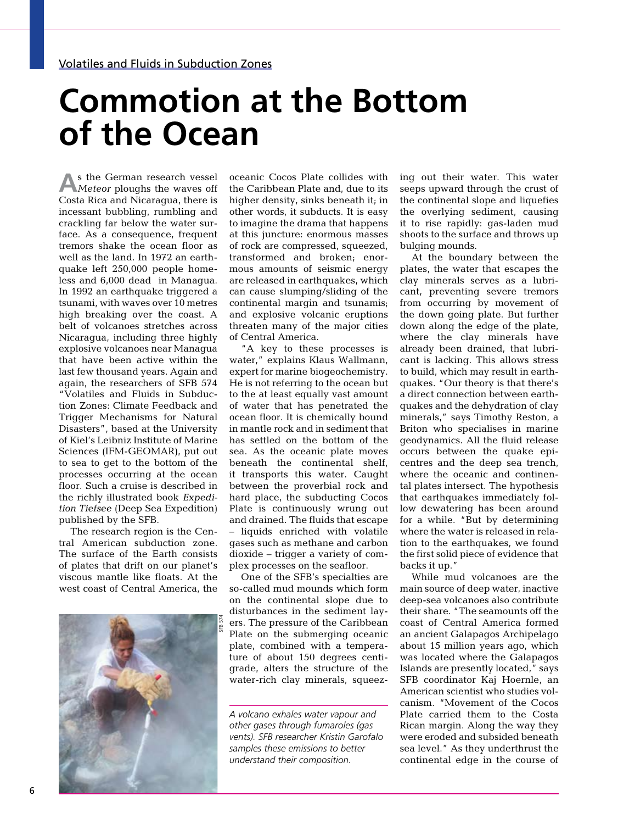### **Commotion at the Bottom of the Ocean**

**A**s the German research vessel *Meteor* ploughs the waves off Costa Rica and Nicaragua, there is incessant bubbling, rumbling and crackling far below the water surface. As a consequence, frequent tremors shake the ocean floor as well as the land. In 1972 an earthquake left 250,000 people homeless and 6,000 dead in Managua. In 1992 an earthquake triggered a tsunami, with waves over 10 metres high breaking over the coast. A belt of volcanoes stretches across Nicaragua, including three highly explosive volcanoes near Managua that have been active within the last few thousand years. Again and again, the researchers of SFB 574 "Volatiles and Fluids in Subduction Zones: Climate Feedback and Trigger Mechanisms for Natural Disasters", based at the University of Kiel's Leibniz Institute of Marine Sciences (IFM-GEOMAR), put out to sea to get to the bottom of the processes occurring at the ocean floor. Such a cruise is described in the richly illustrated book *Expedition Tiefsee* (Deep Sea Expedition) published by the SFB.

The research region is the Central American subduction zone. The surface of the Earth consists of plates that drift on our planet's viscous mantle like floats. At the west coast of Central America, the



oceanic Cocos Plate collides with the Caribbean Plate and, due to its higher density, sinks beneath it; in other words, it subducts. It is easy to imagine the drama that happens at this juncture: enormous masses of rock are compressed, squeezed, transformed and broken; enormous amounts of seismic energy are released in earthquakes, which can cause slumping/sliding of the continental margin and tsunamis; and explosive volcanic eruptions threaten many of the major cities of Central America.

"A key to these processes is water," explains Klaus Wallmann, expert for marine biogeochemistry. He is not referring to the ocean but to the at least equally vast amount of water that has penetrated the ocean floor. It is chemically bound in mantle rock and in sediment that has settled on the bottom of the sea. As the oceanic plate moves beneath the continental shelf, it transports this water. Caught between the proverbial rock and hard place, the subducting Cocos Plate is continuously wrung out and drained. The fluids that escape – liquids enriched with volatile gases such as methane and carbon dioxide – trigger a variety of complex processes on the seafloor.

One of the SFB's specialties are so-called mud mounds which form on the continental slope due to disturbances in the sediment layers. The pressure of the Caribbean Plate on the submerging oceanic plate, combined with a temperature of about 150 degrees centigrade, alters the structure of the water-rich clay minerals, squeez-

*A volcano exhales water vapour and other gases through fumaroles (gas vents). SFB researcher Kristin Garofalo samples these emissions to better understand their composition.*

ing out their water. This water seeps upward through the crust of the continental slope and liquefies the overlying sediment, causing it to rise rapidly: gas-laden mud shoots to the surface and throws up bulging mounds.

At the boundary between the plates, the water that escapes the clay minerals serves as a lubricant, preventing severe tremors from occurring by movement of the down going plate. But further down along the edge of the plate, where the clay minerals have already been drained, that lubricant is lacking. This allows stress to build, which may result in earthquakes. "Our theory is that there's a direct connection between earthquakes and the dehydration of clay minerals," says Timothy Reston, a Briton who specialises in marine geodynamics. All the fluid release occurs between the quake epicentres and the deep sea trench, where the oceanic and continental plates intersect. The hypothesis that earthquakes immediately follow dewatering has been around for a while. "But by determining where the water is released in relation to the earthquakes, we found the first solid piece of evidence that backs it up."

While mud volcanoes are the main source of deep water, inactive deep-sea volcanoes also contribute their share. "The seamounts off the coast of Central America formed an ancient Galapagos Archipelago about 15 million years ago, which was located where the Galapagos Islands are presently located," says SFB coordinator Kaj Hoernle, an American scientist who studies volcanism. "Movement of the Cocos Plate carried them to the Costa Rican margin. Along the way they were eroded and subsided beneath sea level." As they underthrust the continental edge in the course of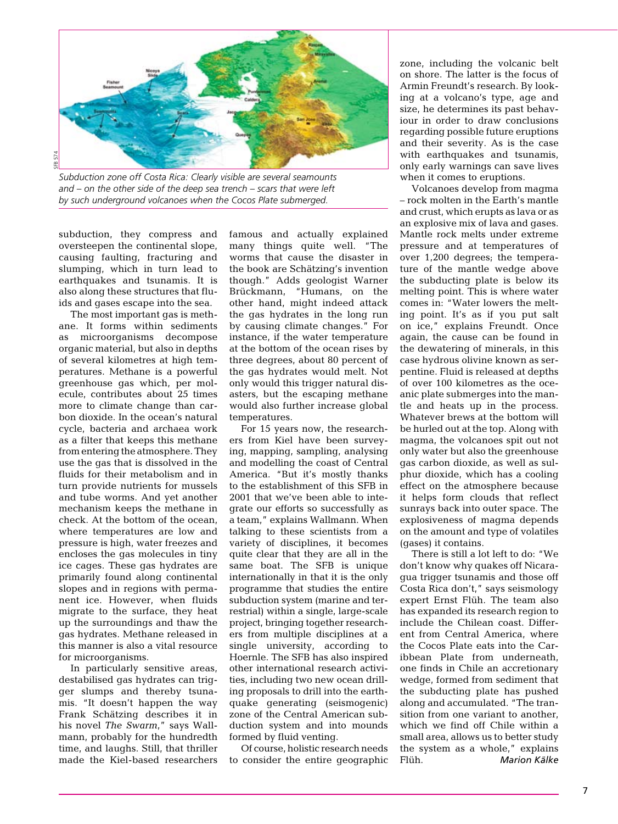

*Subduction zone off Costa Rica: Clearly visible are several seamounts and – on the other side of the deep sea trench – scars that were left by such underground volcanoes when the Cocos Plate submerged.*

subduction, they compress and oversteepen the continental slope, causing faulting, fracturing and slumping, which in turn lead to earthquakes and tsunamis. It is also along these structures that fluids and gases escape into the sea.

The most important gas is methane. It forms within sediments as microorganisms decompose organic material, but also in depths of several kilometres at high temperatures. Methane is a powerful greenhouse gas which, per molecule, contributes about 25 times more to climate change than carbon dioxide. In the ocean's natural cycle, bacteria and archaea work as a filter that keeps this methane from entering the atmosphere. They use the gas that is dissolved in the fluids for their metabolism and in turn provide nutrients for mussels and tube worms. And yet another mechanism keeps the methane in check. At the bottom of the ocean, where temperatures are low and pressure is high, water freezes and encloses the gas molecules in tiny ice cages. These gas hydrates are primarily found along continental slopes and in regions with permanent ice. However, when fluids migrate to the surface, they heat up the surroundings and thaw the gas hydrates. Methane released in this manner is also a vital resource for microorganisms.

In particularly sensitive areas, destabilised gas hydrates can trigger slumps and thereby tsunamis. "It doesn't happen the way Frank Schätzing describes it in his novel *The Swarm*," says Wallmann, probably for the hundredth time, and laughs. Still, that thriller made the Kiel-based researchers famous and actually explained many things quite well. "The worms that cause the disaster in the book are Schätzing's invention though." Adds geologist Warner Brückmann, "Humans, on the other hand, might indeed attack the gas hydrates in the long run by causing climate changes." For instance, if the water temperature at the bottom of the ocean rises by three degrees, about 80 percent of the gas hydrates would melt. Not only would this trigger natural disasters, but the escaping methane would also further increase global temperatures.

For 15 years now, the researchers from Kiel have been surveying, mapping, sampling, analysing and modelling the coast of Central America. "But it's mostly thanks to the establishment of this SFB in 2001 that we've been able to integrate our efforts so successfully as a team," explains Wallmann. When talking to these scientists from a variety of disciplines, it becomes quite clear that they are all in the same boat. The SFB is unique internationally in that it is the only programme that studies the entire subduction system (marine and terrestrial) within a single, large-scale project, bringing together researchers from multiple disciplines at a single university, according to Hoernle. The SFB has also inspired other international research activities, including two new ocean drilling proposals to drill into the earthquake generating (seismogenic) zone of the Central American subduction system and into mounds formed by fluid venting.

Of course, holistic research needs to consider the entire geographic zone, including the volcanic belt on shore. The latter is the focus of Armin Freundt's research. By looking at a volcano's type, age and size, he determines its past behaviour in order to draw conclusions regarding possible future eruptions and their severity. As is the case with earthquakes and tsunamis, only early warnings can save lives when it comes to eruptions.

Volcanoes develop from magma – rock molten in the Earth's mantle and crust, which erupts as lava or as an explosive mix of lava and gases. Mantle rock melts under extreme pressure and at temperatures of over 1,200 degrees; the temperature of the mantle wedge above the subducting plate is below its melting point. This is where water comes in: "Water lowers the melting point. It's as if you put salt on ice," explains Freundt. Once again, the cause can be found in the dewatering of minerals, in this case hydrous olivine known as serpentine. Fluid is released at depths of over 100 kilometres as the oceanic plate submerges into the mantle and heats up in the process. Whatever brews at the bottom will be hurled out at the top. Along with magma, the volcanoes spit out not only water but also the greenhouse gas carbon dioxide, as well as sulphur dioxide, which has a cooling effect on the atmosphere because it helps form clouds that reflect sunrays back into outer space. The explosiveness of magma depends on the amount and type of volatiles (gases) it contains.

There is still a lot left to do: "We don't know why quakes off Nicaragua trigger tsunamis and those off Costa Rica don't," says seismology expert Ernst Flüh. The team also has expanded its research region to include the Chilean coast. Different from Central America, where the Cocos Plate eats into the Caribbean Plate from underneath, one finds in Chile an accretionary wedge, formed from sediment that the subducting plate has pushed along and accumulated. "The transition from one variant to another, which we find off Chile within a small area, allows us to better study the system as a whole," explains Flüh. *Marion Kälke*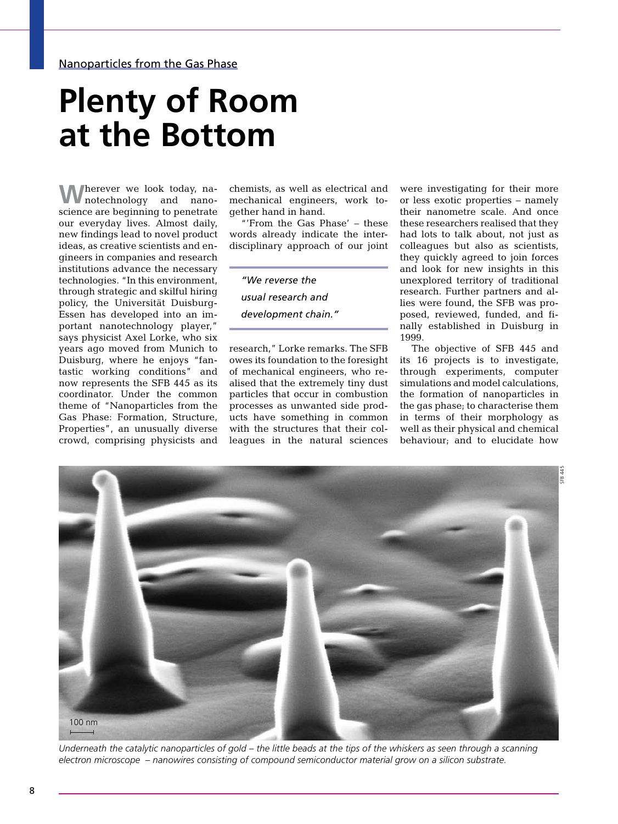## **Plenty of Room at the Bottom**

**W**herever we look today, nanotechnology and nanoscience are beginning to penetrate our everyday lives. Almost daily, new findings lead to novel product ideas, as creative scientists and engineers in companies and research institutions advance the necessary technologies. "In this environment, through strategic and skilful hiring policy, the Universität Duisburg-Essen has developed into an important nanotechnology player," says physicist Axel Lorke, who six years ago moved from Munich to Duisburg, where he enjoys "fantastic working conditions" and now represents the SFB 445 as its coordinator. Under the common theme of "Nanoparticles from the Gas Phase: Formation, Structure, Properties", an unusually diverse crowd, comprising physicists and

chemists, as well as electrical and mechanical engineers, work together hand in hand.

"'From the Gas Phase' – these words already indicate the interdisciplinary approach of our joint

*"We reverse the usual research and development chain."*

research," Lorke remarks. The SFB owes its foundation to the foresight of mechanical engineers, who realised that the extremely tiny dust particles that occur in combustion processes as unwanted side products have something in common with the structures that their colleagues in the natural sciences

were investigating for their more or less exotic properties – namely their nanometre scale. And once these researchers realised that they had lots to talk about, not just as colleagues but also as scientists, they quickly agreed to join forces and look for new insights in this unexplored territory of traditional research. Further partners and allies were found, the SFB was proposed, reviewed, funded, and finally established in Duisburg in 1999.

The objective of SFB 445 and its 16 projects is to investigate, through experiments, computer simulations and model calculations, the formation of nanoparticles in the gas phase; to characterise them in terms of their morphology as well as their physical and chemical behaviour; and to elucidate how



*Underneath the catalytic nanoparticles of gold – the little beads at the tips of the whiskers as seen through a scanning electron microscope – nanowires consisting of compound semiconductor material grow on a silicon substrate.*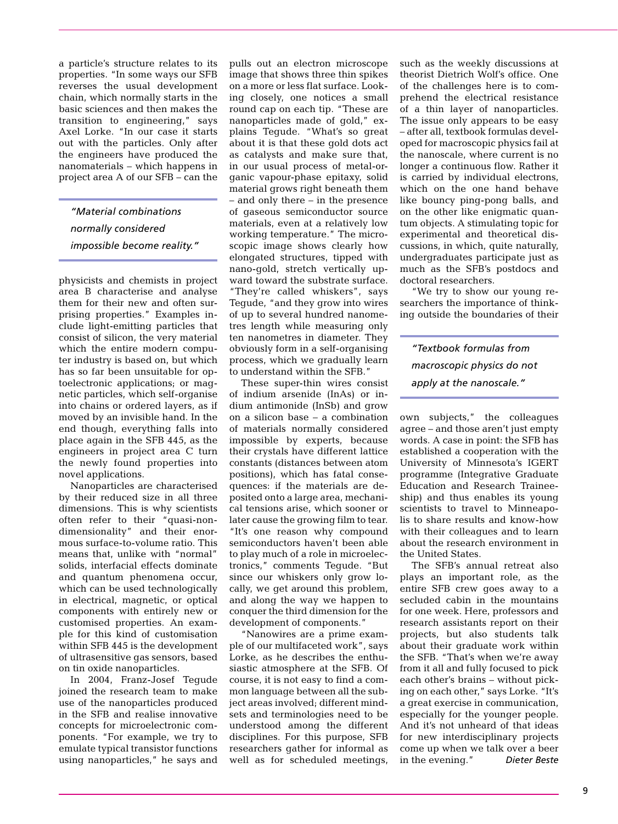a particle's structure relates to its properties. "In some ways our SFB reverses the usual development chain, which normally starts in the basic sciences and then makes the transition to engineering," says Axel Lorke. "In our case it starts out with the particles. Only after the engineers have produced the nanomaterials – which happens in project area A of our SFB – can the

*"Material combinations normally considered impossible become reality."*

physicists and chemists in project area B characterise and analyse them for their new and often surprising properties." Examples include light-emitting particles that consist of silicon, the very material which the entire modern computer industry is based on, but which has so far been unsuitable for optoelectronic applications; or magnetic particles, which self-organise into chains or ordered layers, as if moved by an invisible hand. In the end though, everything falls into place again in the SFB 445, as the engineers in project area C turn the newly found properties into novel applications.

Nanoparticles are characterised by their reduced size in all three dimensions. This is why scientists often refer to their "quasi-nondimensionality" and their enormous surface-to-volume ratio. This means that, unlike with "normal" solids, interfacial effects dominate and quantum phenomena occur, which can be used technologically in electrical, magnetic, or optical components with entirely new or customised properties. An example for this kind of customisation within SFB 445 is the development of ultrasensitive gas sensors, based on tin oxide nanoparticles.

In 2004, Franz-Josef Tegude joined the research team to make use of the nanoparticles produced in the SFB and realise innovative concepts for microelectronic components. "For example, we try to emulate typical transistor functions using nanoparticles," he says and pulls out an electron microscope image that shows three thin spikes on a more or less flat surface. Looking closely, one notices a small round cap on each tip. "These are nanoparticles made of gold," explains Tegude. "What's so great about it is that these gold dots act as catalysts and make sure that, in our usual process of metal-organic vapour-phase epitaxy, solid material grows right beneath them – and only there – in the presence of gaseous semiconductor source materials, even at a relatively low working temperature." The microscopic image shows clearly how elongated structures, tipped with nano-gold, stretch vertically upward toward the substrate surface. "They're called whiskers", says Tegude, "and they grow into wires of up to several hundred nanometres length while measuring only ten nanometres in diameter. They obviously form in a self-organising process, which we gradually learn to understand within the SFB."

These super-thin wires consist of indium arsenide (InAs) or indium antimonide (InSb) and grow on a silicon base – a combination of materials normally considered impossible by experts, because their crystals have different lattice constants (distances between atom positions), which has fatal consequences: if the materials are deposited onto a large area, mechanical tensions arise, which sooner or later cause the growing film to tear. "It's one reason why compound semiconductors haven't been able to play much of a role in microelectronics," comments Tegude. "But since our whiskers only grow locally, we get around this problem, and along the way we happen to conquer the third dimension for the development of components."

"Nanowires are a prime example of our multifaceted work", says Lorke, as he describes the enthusiastic atmosphere at the SFB. Of course, it is not easy to find a common language between all the subject areas involved; different mindsets and terminologies need to be understood among the different disciplines. For this purpose, SFB researchers gather for informal as well as for scheduled meetings, such as the weekly discussions at theorist Dietrich Wolf's office. One of the challenges here is to comprehend the electrical resistance of a thin layer of nanoparticles. The issue only appears to be easy – after all, textbook formulas developed for macroscopic physics fail at the nanoscale, where current is no longer a continuous flow. Rather it is carried by individual electrons, which on the one hand behave like bouncy ping-pong balls, and on the other like enigmatic quantum objects. A stimulating topic for experimental and theoretical discussions, in which, quite naturally, undergraduates participate just as much as the SFB's postdocs and doctoral researchers.

"We try to show our young researchers the importance of thinking outside the boundaries of their

*"Textbook formulas from macroscopic physics do not apply at the nanoscale."*

own subjects," the colleagues agree – and those aren't just empty words. A case in point: the SFB has established a cooperation with the University of Minnesota's IGERT programme (Integrative Graduate Education and Research Traineeship) and thus enables its young scientists to travel to Minneapolis to share results and know-how with their colleagues and to learn about the research environment in the United States.

The SFB's annual retreat also plays an important role, as the entire SFB crew goes away to a secluded cabin in the mountains for one week. Here, professors and research assistants report on their projects, but also students talk about their graduate work within the SFB. "That's when we're away from it all and fully focused to pick each other's brains – without picking on each other," says Lorke. "It's a great exercise in communication, especially for the younger people. And it's not unheard of that ideas for new interdisciplinary projects come up when we talk over a beer in the evening." *Dieter Beste*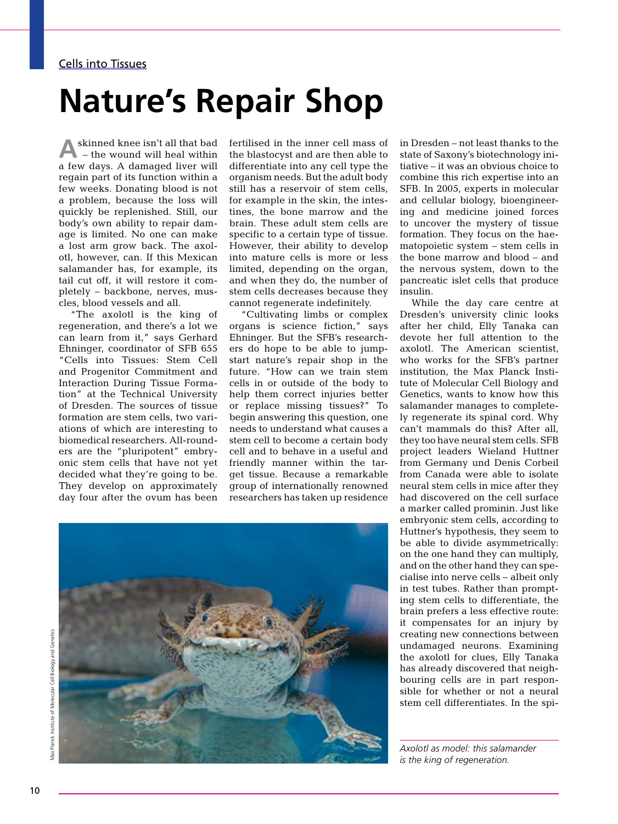#### Cells into Tissues

## **Nature's Repair Shop**

skinned knee isn't all that bad – the wound will heal within a few days. A damaged liver will regain part of its function within a few weeks. Donating blood is not a problem, because the loss will quickly be replenished. Still, our body's own ability to repair damage is limited. No one can make a lost arm grow back. The axolotl, however, can. If this Mexican salamander has, for example, its tail cut off, it will restore it completely – backbone, nerves, muscles, blood vessels and all.

"The axolotl is the king of regeneration, and there's a lot we can learn from it," says Gerhard Ehninger, coordinator of SFB 655 "Cells into Tissues: Stem Cell and Progenitor Commitment and Interaction During Tissue Formation" at the Technical University of Dresden. The sources of tissue formation are stem cells, two variations of which are interesting to biomedical researchers. All-rounders are the "pluripotent" embryonic stem cells that have not yet decided what they're going to be. They develop on approximately day four after the ovum has been

fertilised in the inner cell mass of the blastocyst and are then able to differentiate into any cell type the organism needs. But the adult body still has a reservoir of stem cells, for example in the skin, the intestines, the bone marrow and the brain. These adult stem cells are specific to a certain type of tissue. However, their ability to develop into mature cells is more or less limited, depending on the organ, and when they do, the number of stem cells decreases because they cannot regenerate indefinitely.

"Cultivating limbs or complex organs is science fiction," says Ehninger. But the SFB's researchers do hope to be able to jumpstart nature's repair shop in the future. "How can we train stem cells in or outside of the body to help them correct injuries better or replace missing tissues?" To begin answering this question, one needs to understand what causes a stem cell to become a certain body cell and to behave in a useful and friendly manner within the target tissue. Because a remarkable group of internationally renowned researchers has taken up residence

in Dresden – not least thanks to the state of Saxony's biotechnology initiative – it was an obvious choice to combine this rich expertise into an SFB. In 2005, experts in molecular and cellular biology, bioengineering and medicine joined forces to uncover the mystery of tissue formation. They focus on the haematopoietic system – stem cells in the bone marrow and blood – and the nervous system, down to the pancreatic islet cells that produce insulin.

While the day care centre at Dresden's university clinic looks after her child, Elly Tanaka can devote her full attention to the axolotl. The American scientist, who works for the SFB's partner institution, the Max Planck Institute of Molecular Cell Biology and Genetics, wants to know how this salamander manages to completely regenerate its spinal cord. Why can't mammals do this? After all, they too have neural stem cells. SFB project leaders Wieland Huttner from Germany und Denis Corbeil from Canada were able to isolate neural stem cells in mice after they had discovered on the cell surface a marker called prominin. Just like embryonic stem cells, according to Huttner's hypothesis, they seem to be able to divide asymmetrically: on the one hand they can multiply, and on the other hand they can specialise into nerve cells – albeit only in test tubes. Rather than prompting stem cells to differentiate, the brain prefers a less effective route: it compensates for an injury by creating new connections between undamaged neurons. Examining the axolotl for clues, Elly Tanaka has already discovered that neighbouring cells are in part responsible for whether or not a neural stem cell differentiates. In the spi-

*Axolotl as model: this salamander is the king of regeneration.*

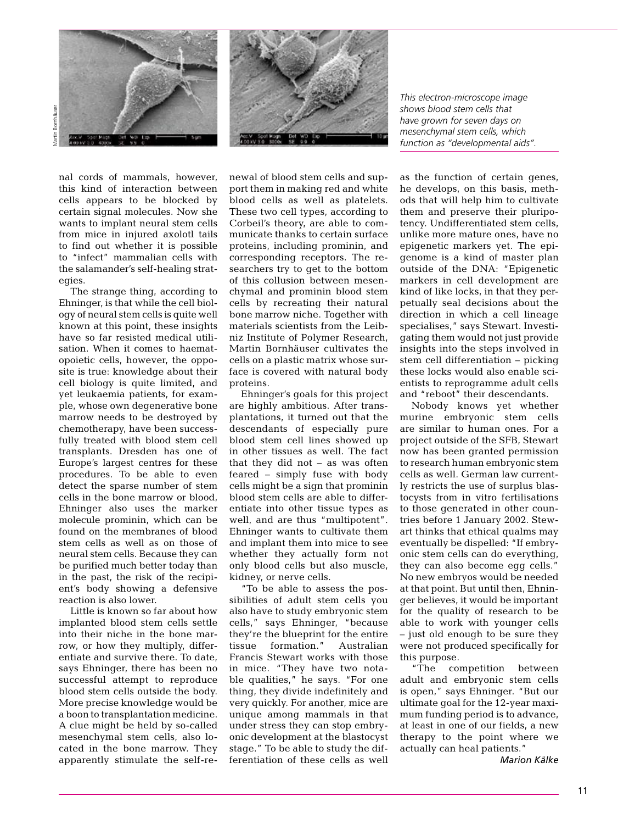

*This electron-microscope image shows blood stem cells that have grown for seven days on mesenchymal stem cells, which function as "developmental aids".*

nal cords of mammals, however, this kind of interaction between cells appears to be blocked by certain signal molecules. Now she wants to implant neural stem cells from mice in injured axolotl tails to find out whether it is possible to "infect" mammalian cells with the salamander's self-healing strategies.

Martin Bornhäuser

The strange thing, according to Ehninger, is that while the cell biology of neural stem cells is quite well known at this point, these insights have so far resisted medical utilisation. When it comes to haematopoietic cells, however, the opposite is true: knowledge about their cell biology is quite limited, and yet leukaemia patients, for example, whose own degenerative bone marrow needs to be destroyed by chemotherapy, have been successfully treated with blood stem cell transplants. Dresden has one of Europe's largest centres for these procedures. To be able to even detect the sparse number of stem cells in the bone marrow or blood, Ehninger also uses the marker molecule prominin, which can be found on the membranes of blood stem cells as well as on those of neural stem cells. Because they can be purified much better today than in the past, the risk of the recipient's body showing a defensive reaction is also lower.

Little is known so far about how implanted blood stem cells settle into their niche in the bone marrow, or how they multiply, differentiate and survive there. To date, says Ehninger, there has been no successful attempt to reproduce blood stem cells outside the body. More precise knowledge would be a boon to transplantation medicine. A clue might be held by so-called mesenchymal stem cells, also located in the bone marrow. They apparently stimulate the self-renewal of blood stem cells and support them in making red and white blood cells as well as platelets. These two cell types, according to Corbeil's theory, are able to communicate thanks to certain surface proteins, including prominin, and corresponding receptors. The researchers try to get to the bottom of this collusion between mesenchymal and prominin blood stem cells by recreating their natural bone marrow niche. Together with materials scientists from the Leibniz Institute of Polymer Research, Martin Bornhäuser cultivates the cells on a plastic matrix whose surface is covered with natural body proteins.

Ehninger's goals for this project are highly ambitious. After transplantations, it turned out that the descendants of especially pure blood stem cell lines showed up in other tissues as well. The fact that they did not – as was often feared – simply fuse with body cells might be a sign that prominin blood stem cells are able to differentiate into other tissue types as well, and are thus "multipotent". Ehninger wants to cultivate them and implant them into mice to see whether they actually form not only blood cells but also muscle, kidney, or nerve cells.

"To be able to assess the possibilities of adult stem cells you also have to study embryonic stem cells," says Ehninger, "because they're the blueprint for the entire tissue formation." Australian Francis Stewart works with those in mice. "They have two notable qualities," he says. "For one thing, they divide indefinitely and very quickly. For another, mice are unique among mammals in that under stress they can stop embryonic development at the blastocyst stage." To be able to study the differentiation of these cells as well

as the function of certain genes, he develops, on this basis, methods that will help him to cultivate them and preserve their pluripotency. Undifferentiated stem cells, unlike more mature ones, have no epigenetic markers yet. The epigenome is a kind of master plan outside of the DNA: "Epigenetic markers in cell development are kind of like locks, in that they perpetually seal decisions about the direction in which a cell lineage specialises," says Stewart. Investigating them would not just provide insights into the steps involved in stem cell differentiation – picking these locks would also enable scientists to reprogramme adult cells and "reboot" their descendants.

Nobody knows yet whether murine embryonic stem cells are similar to human ones. For a project outside of the SFB, Stewart now has been granted permission to research human embryonic stem cells as well. German law currently restricts the use of surplus blastocysts from in vitro fertilisations to those generated in other countries before 1 January 2002. Stewart thinks that ethical qualms may eventually be dispelled: "If embryonic stem cells can do everything, they can also become egg cells." No new embryos would be needed at that point. But until then, Ehninger believes, it would be important for the quality of research to be able to work with younger cells – just old enough to be sure they were not produced specifically for this purpose.

"The competition between adult and embryonic stem cells is open," says Ehninger. "But our ultimate goal for the 12-year maximum funding period is to advance, at least in one of our fields, a new therapy to the point where we actually can heal patients."

*Marion Kälke*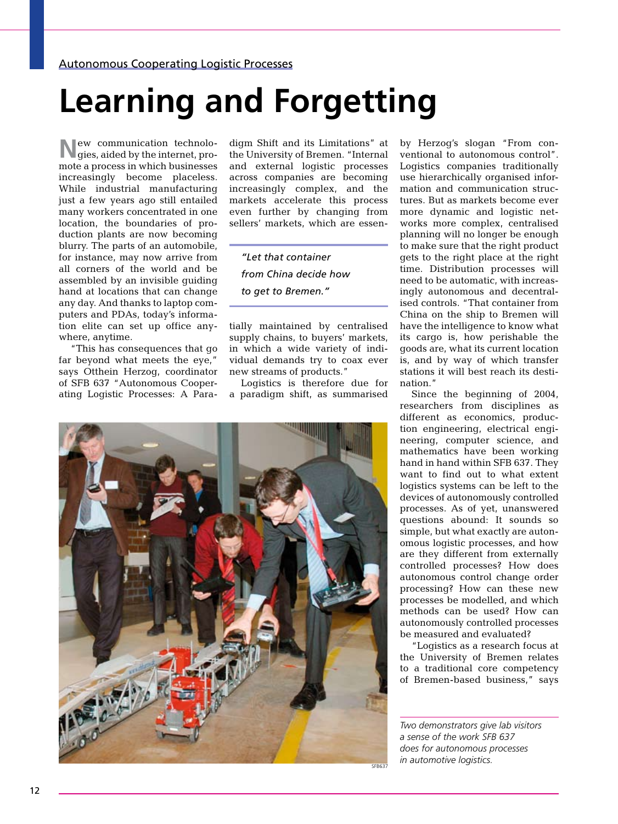# **Learning and Forgetting**

**N**ew communication technolo-gies, aided by the internet, promote a process in which businesses increasingly become placeless. While industrial manufacturing just a few years ago still entailed many workers concentrated in one location, the boundaries of production plants are now becoming blurry. The parts of an automobile, for instance, may now arrive from all corners of the world and be assembled by an invisible guiding hand at locations that can change any day. And thanks to laptop computers and PDAs, today's information elite can set up office anywhere, anytime.

"This has consequences that go far beyond what meets the eye," says Otthein Herzog, coordinator of SFB 637 "Autonomous Cooperating Logistic Processes: A Paradigm Shift and its Limitations" at the University of Bremen. "Internal and external logistic processes across companies are becoming increasingly complex, and the markets accelerate this process even further by changing from sellers' markets, which are essen-

*"Let that container from China decide how to get to Bremen."*

tially maintained by centralised supply chains, to buyers' markets, in which a wide variety of individual demands try to coax ever new streams of products."

Logistics is therefore due for a paradigm shift, as summarised

by Herzog's slogan "From conventional to autonomous control". Logistics companies traditionally use hierarchically organised information and communication structures. But as markets become ever more dynamic and logistic networks more complex, centralised planning will no longer be enough to make sure that the right product gets to the right place at the right time. Distribution processes will need to be automatic, with increasingly autonomous and decentralised controls. "That container from China on the ship to Bremen will have the intelligence to know what its cargo is, how perishable the goods are, what its current location is, and by way of which transfer stations it will best reach its destination."

Since the beginning of 2004, researchers from disciplines as different as economics, production engineering, electrical engineering, computer science, and mathematics have been working hand in hand within SFB 637. They want to find out to what extent logistics systems can be left to the devices of autonomously controlled processes. As of yet, unanswered questions abound: It sounds so simple, but what exactly are autonomous logistic processes, and how are they different from externally controlled processes? How does autonomous control change order processing? How can these new processes be modelled, and which methods can be used? How can autonomously controlled processes be measured and evaluated?

"Logistics as a research focus at the University of Bremen relates to a traditional core competency of Bremen-based business," says

*Two demonstrators give lab visitors a sense of the work SFB 637 does for autonomous processes*  sFB637 *in automotive logistics*.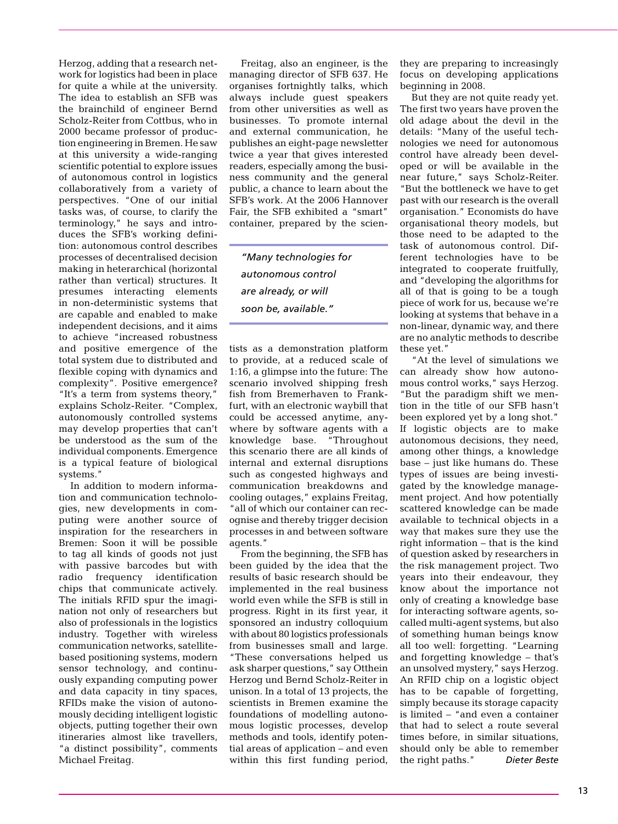Herzog, adding that a research network for logistics had been in place for quite a while at the university. The idea to establish an SFB was the brainchild of engineer Bernd Scholz-Reiter from Cottbus, who in 2000 became professor of production engineering in Bremen. He saw at this university a wide-ranging scientific potential to explore issues of autonomous control in logistics collaboratively from a variety of perspectives. "One of our initial tasks was, of course, to clarify the terminology," he says and introduces the SFB's working definition: autonomous control describes processes of decentralised decision making in heterarchical (horizontal rather than vertical) structures. It presumes interacting elements in non-deterministic systems that are capable and enabled to make independent decisions, and it aims to achieve "increased robustness and positive emergence of the total system due to distributed and flexible coping with dynamics and complexity". Positive emergence? "It's a term from systems theory," explains Scholz-Reiter. "Complex, autonomously controlled systems may develop properties that can't be understood as the sum of the individual components. Emergence is a typical feature of biological systems."

In addition to modern information and communication technologies, new developments in computing were another source of inspiration for the researchers in Bremen: Soon it will be possible to tag all kinds of goods not just with passive barcodes but with radio frequency identification chips that communicate actively. The initials RFID spur the imagination not only of researchers but also of professionals in the logistics industry. Together with wireless communication networks, satellitebased positioning systems, modern sensor technology, and continuously expanding computing power and data capacity in tiny spaces, RFIDs make the vision of autonomously deciding intelligent logistic objects, putting together their own itineraries almost like travellers, "a distinct possibility", comments Michael Freitag.

Freitag, also an engineer, is the managing director of SFB 637. He organises fortnightly talks, which always include guest speakers from other universities as well as businesses. To promote internal and external communication, he publishes an eight-page newsletter twice a year that gives interested readers, especially among the business community and the general public, a chance to learn about the SFB's work. At the 2006 Hannover Fair, the SFB exhibited a "smart" container, prepared by the scien-

*"Many technologies for autonomous control are already, or will soon be, available."*

tists as a demonstration platform to provide, at a reduced scale of 1:16, a glimpse into the future: The scenario involved shipping fresh fish from Bremerhaven to Frankfurt, with an electronic waybill that could be accessed anytime, anywhere by software agents with a knowledge base. "Throughout this scenario there are all kinds of internal and external disruptions such as congested highways and communication breakdowns and cooling outages," explains Freitag, "all of which our container can recognise and thereby trigger decision processes in and between software agents."

From the beginning, the SFB has been guided by the idea that the results of basic research should be implemented in the real business world even while the SFB is still in progress. Right in its first year, it sponsored an industry colloquium with about 80 logistics professionals from businesses small and large. "These conversations helped us ask sharper questions," say Otthein Herzog und Bernd Scholz-Reiter in unison. In a total of 13 projects, the scientists in Bremen examine the foundations of modelling autonomous logistic processes, develop methods and tools, identify potential areas of application – and even within this first funding period,

they are preparing to increasingly focus on developing applications beginning in 2008.

But they are not quite ready yet. The first two years have proven the old adage about the devil in the details: "Many of the useful technologies we need for autonomous control have already been developed or will be available in the near future," says Scholz-Reiter. "But the bottleneck we have to get past with our research is the overall organisation." Economists do have organisational theory models, but those need to be adapted to the task of autonomous control. Different technologies have to be integrated to cooperate fruitfully, and "developing the algorithms for all of that is going to be a tough piece of work for us, because we're looking at systems that behave in a non-linear, dynamic way, and there are no analytic methods to describe these yet."

"At the level of simulations we can already show how autonomous control works," says Herzog. "But the paradigm shift we mention in the title of our SFB hasn't been explored yet by a long shot." If logistic objects are to make autonomous decisions, they need, among other things, a knowledge base – just like humans do. These types of issues are being investigated by the knowledge management project. And how potentially scattered knowledge can be made available to technical objects in a way that makes sure they use the right information – that is the kind of question asked by researchers in the risk management project. Two years into their endeavour, they know about the importance not only of creating a knowledge base for interacting software agents, socalled multi-agent systems, but also of something human beings know all too well: forgetting. "Learning and forgetting knowledge – that's an unsolved mystery," says Herzog. An RFID chip on a logistic object has to be capable of forgetting, simply because its storage capacity is limited – "and even a container that had to select a route several times before, in similar situations, should only be able to remember the right paths." *Dieter Beste*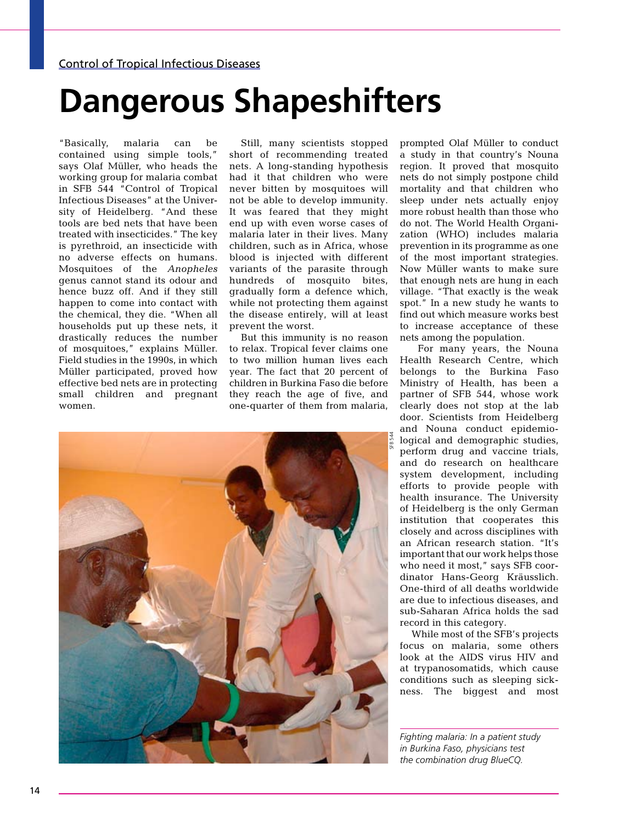# **Dangerous Shapeshifters**

"Basically, malaria can be contained using simple tools," says Olaf Müller, who heads the working group for malaria combat in SFB 544 "Control of Tropical Infectious Diseases" at the University of Heidelberg. "And these tools are bed nets that have been treated with insecticides." The key is pyrethroid, an insecticide with no adverse effects on humans. Mosquitoes of the *Anopheles* genus cannot stand its odour and hence buzz off. And if they still happen to come into contact with the chemical, they die. "When all households put up these nets, it drastically reduces the number of mosquitoes," explains Müller. Field studies in the 1990s, in which Müller participated, proved how effective bed nets are in protecting small children and pregnant women.

Still, many scientists stopped short of recommending treated nets. A long-standing hypothesis had it that children who were never bitten by mosquitoes will not be able to develop immunity. It was feared that they might end up with even worse cases of malaria later in their lives. Many children, such as in Africa, whose blood is injected with different variants of the parasite through hundreds of mosquito bites, gradually form a defence which, while not protecting them against the disease entirely, will at least prevent the worst.

But this immunity is no reason to relax. Tropical fever claims one to two million human lives each year. The fact that 20 percent of children in Burkina Faso die before they reach the age of five, and one-quarter of them from malaria,



prompted Olaf Müller to conduct a study in that country's Nouna region. It proved that mosquito nets do not simply postpone child mortality and that children who sleep under nets actually enjoy more robust health than those who do not. The World Health Organization (WHO) includes malaria prevention in its programme as one of the most important strategies. Now Müller wants to make sure that enough nets are hung in each village. "That exactly is the weak spot." In a new study he wants to find out which measure works best to increase acceptance of these nets among the population.

 For many years, the Nouna Health Research Centre, which belongs to the Burkina Faso Ministry of Health, has been a partner of SFB 544, whose work clearly does not stop at the lab door. Scientists from Heidelberg and Nouna conduct epidemiological and demographic studies, perform drug and vaccine trials, and do research on healthcare system development, including efforts to provide people with health insurance. The University of Heidelberg is the only German institution that cooperates this closely and across disciplines with an African research station. "It's important that our work helps those who need it most," says SFB coordinator Hans-Georg Kräusslich. One-third of all deaths worldwide are due to infectious diseases, and sub-Saharan Africa holds the sad record in this category.

While most of the SFB's projects focus on malaria, some others look at the AIDS virus HIV and at trypanosomatids, which cause conditions such as sleeping sickness. The biggest and most

*Fighting malaria: In a patient study in Burkina Faso, physicians test the combination drug BlueCQ.*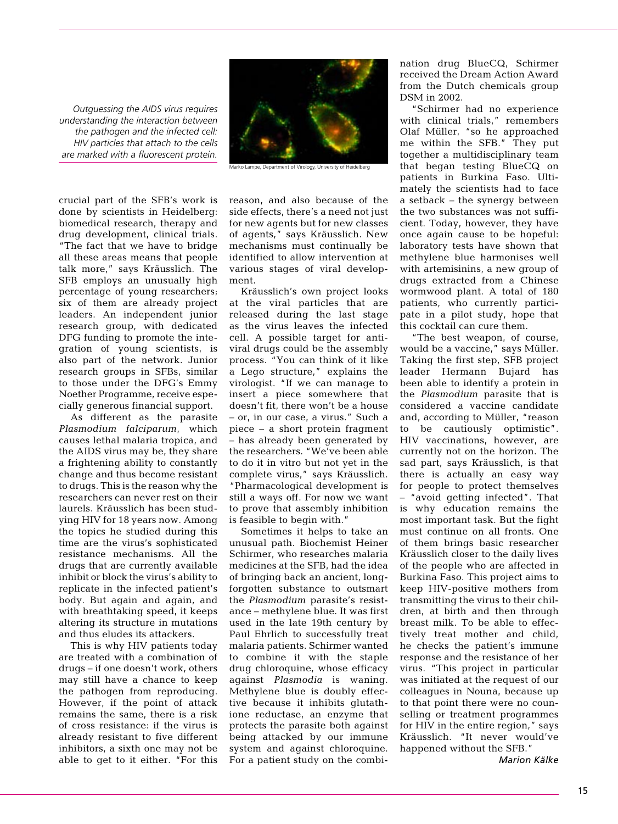*Outguessing the AIDS virus requires understanding the interaction between the pathogen and the infected cell: HIV particles that attach to the cells are marked with a fluorescent protein.*

crucial part of the SFB's work is done by scientists in Heidelberg: biomedical research, therapy and drug development, clinical trials. "The fact that we have to bridge all these areas means that people talk more," says Kräusslich. The SFB employs an unusually high percentage of young researchers; six of them are already project leaders. An independent junior research group, with dedicated DFG funding to promote the integration of young scientists, is also part of the network. Junior research groups in SFBs, similar to those under the DFG's Emmy Noether Programme, receive especially generous financial support.

As different as the parasite *Plasmodium falciparum*, which causes lethal malaria tropica, and the AIDS virus may be, they share a frightening ability to constantly change and thus become resistant to drugs. This is the reason why the researchers can never rest on their laurels. Kräusslich has been studying HIV for 18 years now. Among the topics he studied during this time are the virus's sophisticated resistance mechanisms. All the drugs that are currently available inhibit or block the virus's ability to replicate in the infected patient's body. But again and again, and with breathtaking speed, it keeps altering its structure in mutations and thus eludes its attackers.

This is why HIV patients today are treated with a combination of drugs – if one doesn't work, others may still have a chance to keep the pathogen from reproducing. However, if the point of attack remains the same, there is a risk of cross resistance: if the virus is already resistant to five different inhibitors, a sixth one may not be able to get to it either. "For this



Marko Lampe, Department of Virology, University of Heidelberg

reason, and also because of the side effects, there's a need not just for new agents but for new classes of agents," says Kräusslich. New mechanisms must continually be identified to allow intervention at various stages of viral development.

Kräusslich's own project looks at the viral particles that are released during the last stage as the virus leaves the infected cell. A possible target for antiviral drugs could be the assembly process. "You can think of it like a Lego structure," explains the virologist. "If we can manage to insert a piece somewhere that doesn't fit, there won't be a house – or, in our case, a virus." Such a piece – a short protein fragment has already been generated by the researchers. "We've been able to do it in vitro but not yet in the complete virus," says Kräusslich. "Pharmacological development is still a ways off. For now we want to prove that assembly inhibition is feasible to begin with."

Sometimes it helps to take an unusual path. Biochemist Heiner Schirmer, who researches malaria medicines at the SFB, had the idea of bringing back an ancient, longforgotten substance to outsmart the *Plasmodium* parasite's resistance – methylene blue. It was first used in the late 19th century by Paul Ehrlich to successfully treat malaria patients. Schirmer wanted to combine it with the staple drug chloroquine, whose efficacy against *Plasmodia* is waning. Methylene blue is doubly effective because it inhibits glutathione reductase, an enzyme that protects the parasite both against being attacked by our immune system and against chloroquine. For a patient study on the combination drug BlueCQ, Schirmer received the Dream Action Award from the Dutch chemicals group DSM in 2002.

"Schirmer had no experience with clinical trials," remembers Olaf Müller, "so he approached me within the SFB." They put together a multidisciplinary team that began testing BlueCQ on patients in Burkina Faso. Ultimately the scientists had to face a setback – the synergy between the two substances was not sufficient. Today, however, they have once again cause to be hopeful: laboratory tests have shown that methylene blue harmonises well with artemisinins, a new group of drugs extracted from a Chinese wormwood plant. A total of 180 patients, who currently participate in a pilot study, hope that this cocktail can cure them.

"The best weapon, of course, would be a vaccine," says Müller. Taking the first step, SFB project leader Hermann Bujard has been able to identify a protein in the *Plasmodium* parasite that is considered a vaccine candidate and, according to Müller, "reason to be cautiously optimistic". HIV vaccinations, however, are currently not on the horizon. The sad part, says Kräusslich, is that there is actually an easy way for people to protect themselves – "avoid getting infected". That is why education remains the most important task. But the fight must continue on all fronts. One of them brings basic researcher Kräusslich closer to the daily lives of the people who are affected in Burkina Faso. This project aims to keep HIV-positive mothers from transmitting the virus to their children, at birth and then through breast milk. To be able to effectively treat mother and child, he checks the patient's immune response and the resistance of her virus. "This project in particular was initiated at the request of our colleagues in Nouna, because up to that point there were no counselling or treatment programmes for HIV in the entire region," says Kräusslich. "It never would've happened without the SFB."

*Marion Kälke*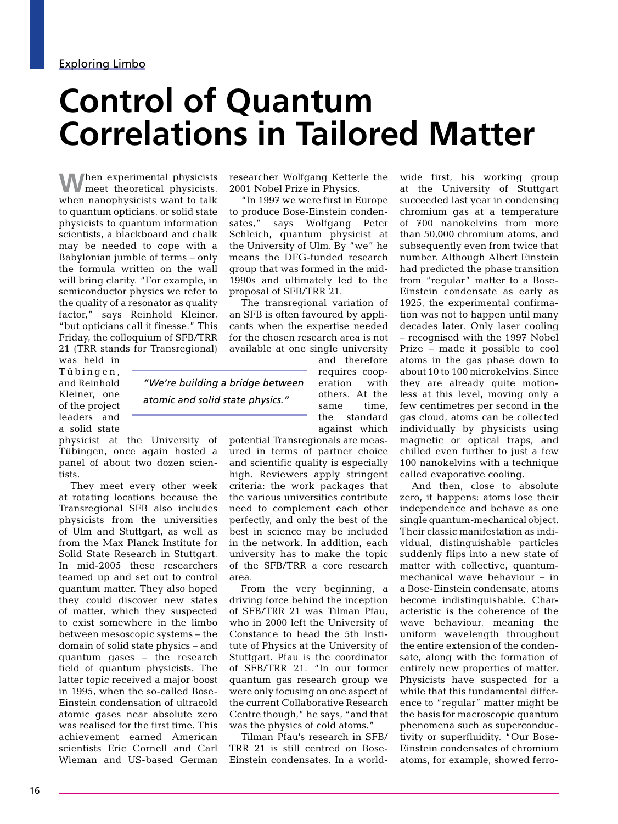## **Control of Quantum Correlations in Tailored Matter**

**W**hen experimental physicists, meet theoretical physicists, when nanophysicists want to talk to quantum opticians, or solid state physicists to quantum information scientists, a blackboard and chalk may be needed to cope with a Babylonian jumble of terms – only the formula written on the wall will bring clarity. "For example, in semiconductor physics we refer to the quality of a resonator as quality factor," says Reinhold Kleiner, "but opticians call it finesse." This Friday, the colloquium of SFB/TRR 21 (TRR stands for Transregional)

physicist at the University of Tübingen, once again hosted a panel of about two dozen scien-

They meet every other week at rotating locations because the Transregional SFB also includes physicists from the universities of Ulm and Stuttgart, as well as from the Max Planck Institute for Solid State Research in Stuttgart. In mid-2005 these researchers teamed up and set out to control quantum matter. They also hoped they could discover new states of matter, which they suspected to exist somewhere in the limbo between mesoscopic systems – the domain of solid state physics – and quantum gases – the research field of quantum physicists. The latter topic received a major boost in 1995, when the so-called Bose-Einstein condensation of ultracold atomic gases near absolute zero was realised for the first time. This achievement earned American scientists Eric Cornell and Carl Wieman and US-based German

was held in Tübingen, and Reinhold Kleiner, one of the project leaders and a solid state

tists.

researcher Wolfgang Ketterle the 2001 Nobel Prize in Physics.

"In 1997 we were first in Europe to produce Bose-Einstein condensates," says Wolfgang Peter Schleich, quantum physicist at the University of Ulm. By "we" he means the DFG-funded research group that was formed in the mid-1990s and ultimately led to the proposal of SFB/TRR 21.

The transregional variation of an SFB is often favoured by applicants when the expertise needed for the chosen research area is not available at one single university

*"We're building a bridge between atomic and solid state physics."*

and therefore requires cooperation with others. At the same time, the standard against which

potential Transregionals are measured in terms of partner choice and scientific quality is especially high. Reviewers apply stringent criteria: the work packages that the various universities contribute need to complement each other perfectly, and only the best of the best in science may be included in the network. In addition, each university has to make the topic of the SFB/TRR a core research area.

From the very beginning, a driving force behind the inception of SFB/TRR 21 was Tilman Pfau, who in 2000 left the University of Constance to head the 5th Institute of Physics at the University of Stuttgart. Pfau is the coordinator of SFB/TRR 21. "In our former quantum gas research group we were only focusing on one aspect of the current Collaborative Research Centre though," he says, "and that was the physics of cold atoms."

Tilman Pfau's research in SFB/ TRR 21 is still centred on Bose-Einstein condensates. In a worldwide first, his working group at the University of Stuttgart succeeded last year in condensing chromium gas at a temperature of 700 nanokelvins from more than 50,000 chromium atoms, and subsequently even from twice that number. Although Albert Einstein had predicted the phase transition from "regular" matter to a Bose-Einstein condensate as early as 1925, the experimental confirmation was not to happen until many decades later. Only laser cooling – recognised with the 1997 Nobel Prize – made it possible to cool atoms in the gas phase down to about 10 to 100 microkelvins. Since they are already quite motionless at this level, moving only a few centimetres per second in the gas cloud, atoms can be collected individually by physicists using magnetic or optical traps, and chilled even further to just a few 100 nanokelvins with a technique called evaporative cooling.

And then, close to absolute zero, it happens: atoms lose their independence and behave as one single quantum-mechanical object. Their classic manifestation as individual, distinguishable particles suddenly flips into a new state of matter with collective, quantummechanical wave behaviour – in a Bose-Einstein condensate, atoms become indistinguishable. Characteristic is the coherence of the wave behaviour, meaning the uniform wavelength throughout the entire extension of the condensate, along with the formation of entirely new properties of matter. Physicists have suspected for a while that this fundamental difference to "regular" matter might be the basis for macroscopic quantum phenomena such as superconductivity or superfluidity. "Our Bose-Einstein condensates of chromium atoms, for example, showed ferro-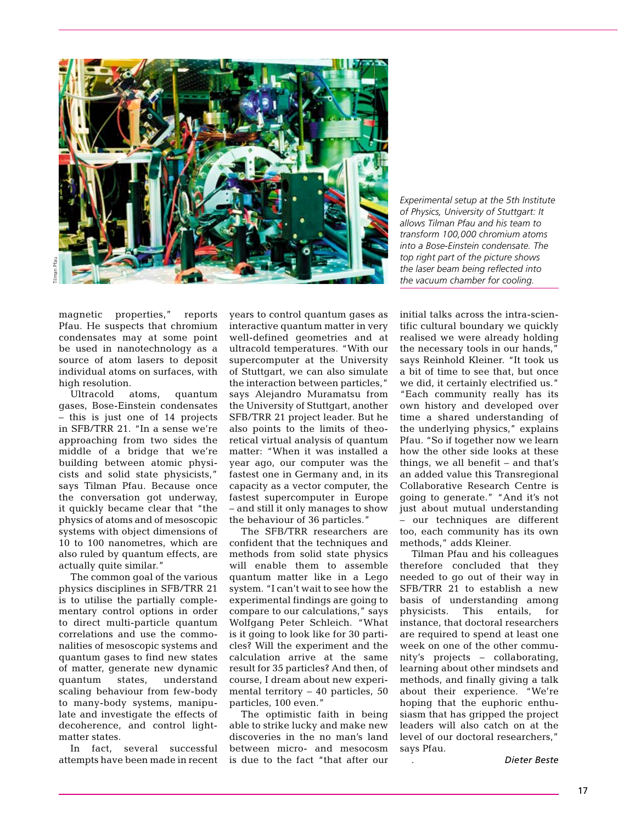

*Experimental setup at the 5th Institute of Physics, University of Stuttgart: It allows Tilman Pfau and his team to transform 100,000 chromium atoms into a Bose-Einstein condensate. The top right part of the picture shows the laser beam being reflected into the vacuum chamber for cooling.* 

magnetic properties," reports Pfau. He suspects that chromium condensates may at some point be used in nanotechnology as a source of atom lasers to deposit individual atoms on surfaces, with high resolution.

Ultracold atoms, quantum gases, Bose-Einstein condensates – this is just one of 14 projects in SFB/TRR 21. "In a sense we're approaching from two sides the middle of a bridge that we're building between atomic physicists and solid state physicists," says Tilman Pfau. Because once the conversation got underway, it quickly became clear that "the physics of atoms and of mesoscopic systems with object dimensions of 10 to 100 nanometres, which are also ruled by quantum effects, are actually quite similar."

The common goal of the various physics disciplines in SFB/TRR 21 is to utilise the partially complementary control options in order to direct multi-particle quantum correlations and use the commonalities of mesoscopic systems and quantum gases to find new states of matter, generate new dynamic quantum states, understand scaling behaviour from few-body to many-body systems, manipulate and investigate the effects of decoherence, and control lightmatter states.

In fact, several successful attempts have been made in recent years to control quantum gases as interactive quantum matter in very well-defined geometries and at ultracold temperatures. "With our supercomputer at the University of Stuttgart, we can also simulate the interaction between particles," says Alejandro Muramatsu from the University of Stuttgart, another SFB/TRR 21 project leader. But he also points to the limits of theoretical virtual analysis of quantum matter: "When it was installed a year ago, our computer was the fastest one in Germany and, in its capacity as a vector computer, the fastest supercomputer in Europe – and still it only manages to show the behaviour of 36 particles."

The SFB/TRR researchers are confident that the techniques and methods from solid state physics will enable them to assemble quantum matter like in a Lego system. "I can't wait to see how the experimental findings are going to compare to our calculations," says Wolfgang Peter Schleich. "What is it going to look like for 30 particles? Will the experiment and the calculation arrive at the same result for 35 particles? And then, of course, I dream about new experimental territory – 40 particles, 50 particles, 100 even."

The optimistic faith in being able to strike lucky and make new discoveries in the no man's land between micro- and mesocosm is due to the fact "that after our initial talks across the intra-scientific cultural boundary we quickly realised we were already holding the necessary tools in our hands," says Reinhold Kleiner. "It took us a bit of time to see that, but once we did, it certainly electrified us." "Each community really has its own history and developed over time a shared understanding of the underlying physics," explains Pfau. "So if together now we learn how the other side looks at these things, we all benefit – and that's an added value this Transregional Collaborative Research Centre is going to generate." "And it's not just about mutual understanding – our techniques are different too, each community has its own methods," adds Kleiner.

Tilman Pfau and his colleagues therefore concluded that they needed to go out of their way in SFB/TRR 21 to establish a new basis of understanding among physicists. This entails, for instance, that doctoral researchers are required to spend at least one week on one of the other community's projects – collaborating, learning about other mindsets and methods, and finally giving a talk about their experience. "We're hoping that the euphoric enthusiasm that has gripped the project leaders will also catch on at the level of our doctoral researchers," says Pfau.

. *Dieter Beste*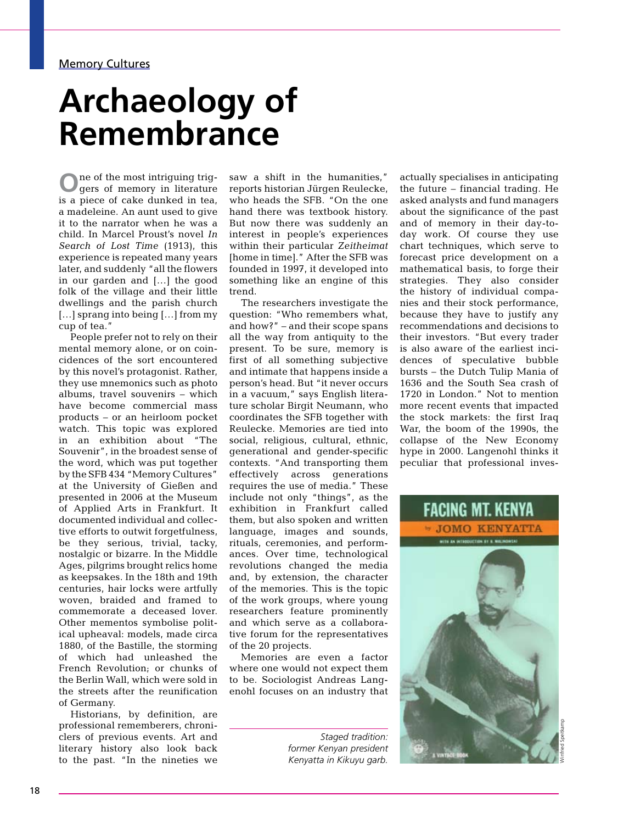## **Archaeology of Remembrance**

**O**ne of the most intriguing trig-gers of memory in literature is a piece of cake dunked in tea, a madeleine. An aunt used to give it to the narrator when he was a child. In Marcel Proust's novel *In Search of Lost Time* (1913), this experience is repeated many years later, and suddenly "all the flowers in our garden and […] the good folk of the village and their little dwellings and the parish church [...] sprang into being [...] from my cup of tea."

People prefer not to rely on their mental memory alone, or on coincidences of the sort encountered by this novel's protagonist. Rather, they use mnemonics such as photo albums, travel souvenirs – which have become commercial mass products – or an heirloom pocket watch. This topic was explored in an exhibition about "The Souvenir", in the broadest sense of the word, which was put together by the SFB 434 "Memory Cultures" at the University of Gießen and presented in 2006 at the Museum of Applied Arts in Frankfurt. It documented individual and collective efforts to outwit forgetfulness, be they serious, trivial, tacky, nostalgic or bizarre. In the Middle Ages, pilgrims brought relics home as keepsakes. In the 18th and 19th centuries, hair locks were artfully woven, braided and framed to commemorate a deceased lover. Other mementos symbolise political upheaval: models, made circa 1880, of the Bastille, the storming of which had unleashed the French Revolution; or chunks of the Berlin Wall, which were sold in the streets after the reunification of Germany.

Historians, by definition, are professional rememberers, chroniclers of previous events. Art and literary history also look back to the past. "In the nineties we

saw a shift in the humanities," reports historian Jürgen Reulecke, who heads the SFB. "On the one hand there was textbook history. But now there was suddenly an interest in people's experiences within their particular *Zeitheimat* [home in time]." After the SFB was founded in 1997, it developed into something like an engine of this trend.

The researchers investigate the question: "Who remembers what, and how?" – and their scope spans all the way from antiquity to the present. To be sure, memory is first of all something subjective and intimate that happens inside a person's head. But "it never occurs in a vacuum," says English literature scholar Birgit Neumann, who coordinates the SFB together with Reulecke. Memories are tied into social, religious, cultural, ethnic, generational and gender-specific contexts. "And transporting them effectively across generations requires the use of media." These include not only "things", as the exhibition in Frankfurt called them, but also spoken and written language, images and sounds, rituals, ceremonies, and performances. Over time, technological revolutions changed the media and, by extension, the character of the memories. This is the topic of the work groups, where young researchers feature prominently and which serve as a collaborative forum for the representatives of the 20 projects.

Memories are even a factor where one would not expect them to be. Sociologist Andreas Langenohl focuses on an industry that

> *Staged tradition: former Kenyan president Kenyatta in Kikuyu garb.*

actually specialises in anticipating the future – financial trading. He asked analysts and fund managers about the significance of the past and of memory in their day-today work. Of course they use chart techniques, which serve to forecast price development on a mathematical basis, to forge their strategies. They also consider the history of individual companies and their stock performance, because they have to justify any recommendations and decisions to their investors. "But every trader is also aware of the earliest incidences of speculative bubble bursts – the Dutch Tulip Mania of 1636 and the South Sea crash of 1720 in London." Not to mention more recent events that impacted the stock markets: the first Iraq War, the boom of the 1990s, the collapse of the New Economy hype in 2000. Langenohl thinks it peculiar that professional inves-

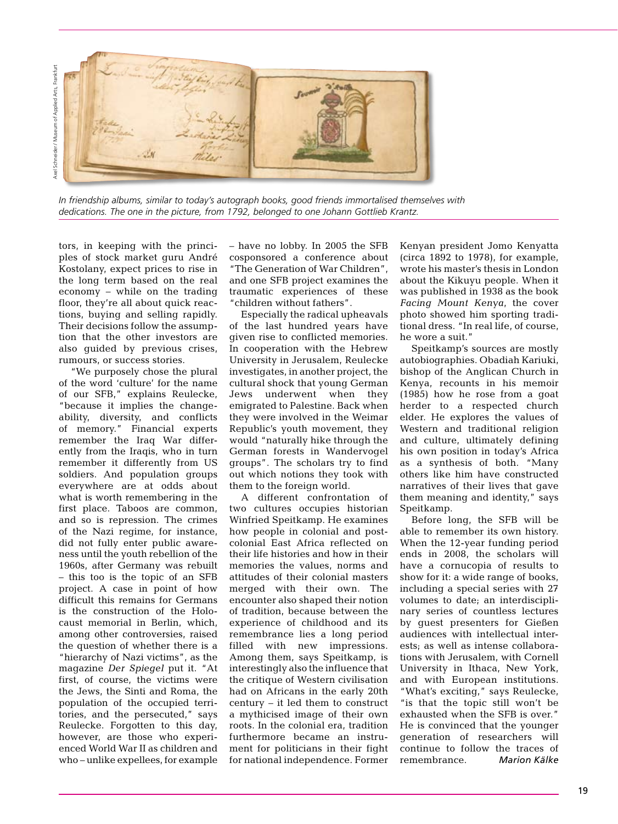

*In friendship albums, similar to today's autograph books, good friends immortalised themselves with dedications. The one in the picture, from 1792, belonged to one Johann Gottlieb Krantz.*

tors, in keeping with the principles of stock market guru André Kostolany, expect prices to rise in the long term based on the real economy – while on the trading floor, they're all about quick reactions, buying and selling rapidly. Their decisions follow the assumption that the other investors are also guided by previous crises, rumours, or success stories.

"We purposely chose the plural of the word 'culture' for the name of our SFB," explains Reulecke, "because it implies the changeability, diversity, and conflicts of memory." Financial experts remember the Iraq War differently from the Iraqis, who in turn remember it differently from US soldiers. And population groups everywhere are at odds about what is worth remembering in the first place. Taboos are common, and so is repression. The crimes of the Nazi regime, for instance, did not fully enter public awareness until the youth rebellion of the 1960s, after Germany was rebuilt – this too is the topic of an SFB project. A case in point of how difficult this remains for Germans is the construction of the Holocaust memorial in Berlin, which, among other controversies, raised the question of whether there is a "hierarchy of Nazi victims", as the magazine *Der Spiegel* put it. "At first, of course, the victims were the Jews, the Sinti and Roma, the population of the occupied territories, and the persecuted," says Reulecke. Forgotten to this day, however, are those who experienced World War II as children and who – unlike expellees, for example – have no lobby. In 2005 the SFB cosponsored a conference about "The Generation of War Children", and one SFB project examines the traumatic experiences of these "children without fathers".

Especially the radical upheavals of the last hundred years have given rise to conflicted memories. In cooperation with the Hebrew University in Jerusalem, Reulecke investigates, in another project, the cultural shock that young German Jews underwent when they emigrated to Palestine. Back when they were involved in the Weimar Republic's youth movement, they would "naturally hike through the German forests in Wandervogel groups". The scholars try to find out which notions they took with them to the foreign world.

A different confrontation of two cultures occupies historian Winfried Speitkamp. He examines how people in colonial and postcolonial East Africa reflected on their life histories and how in their memories the values, norms and attitudes of their colonial masters merged with their own. The encounter also shaped their notion of tradition, because between the experience of childhood and its remembrance lies a long period filled with new impressions. Among them, says Speitkamp, is interestingly also the influence that the critique of Western civilisation had on Africans in the early 20th century – it led them to construct a mythicised image of their own roots. In the colonial era, tradition furthermore became an instrument for politicians in their fight for national independence. Former Kenyan president Jomo Kenyatta (circa 1892 to 1978), for example, wrote his master's thesis in London about the Kikuyu people. When it was published in 1938 as the book *Facing Mount Kenya*, the cover photo showed him sporting traditional dress. "In real life, of course, he wore a suit."

Speitkamp's sources are mostly autobiographies. Obadiah Kariuki, bishop of the Anglican Church in Kenya, recounts in his memoir (1985) how he rose from a goat herder to a respected church elder. He explores the values of Western and traditional religion and culture, ultimately defining his own position in today's Africa as a synthesis of both. "Many others like him have constructed narratives of their lives that gave them meaning and identity," says Speitkamp.

Before long, the SFB will be able to remember its own history. When the 12-year funding period ends in 2008, the scholars will have a cornucopia of results to show for it: a wide range of books, including a special series with 27 volumes to date; an interdisciplinary series of countless lectures by guest presenters for Gießen audiences with intellectual interests; as well as intense collaborations with Jerusalem, with Cornell University in Ithaca, New York, and with European institutions. "What's exciting," says Reulecke, "is that the topic still won't be exhausted when the SFB is over." He is convinced that the younger generation of researchers will continue to follow the traces of remembrance. *Marion Kälke*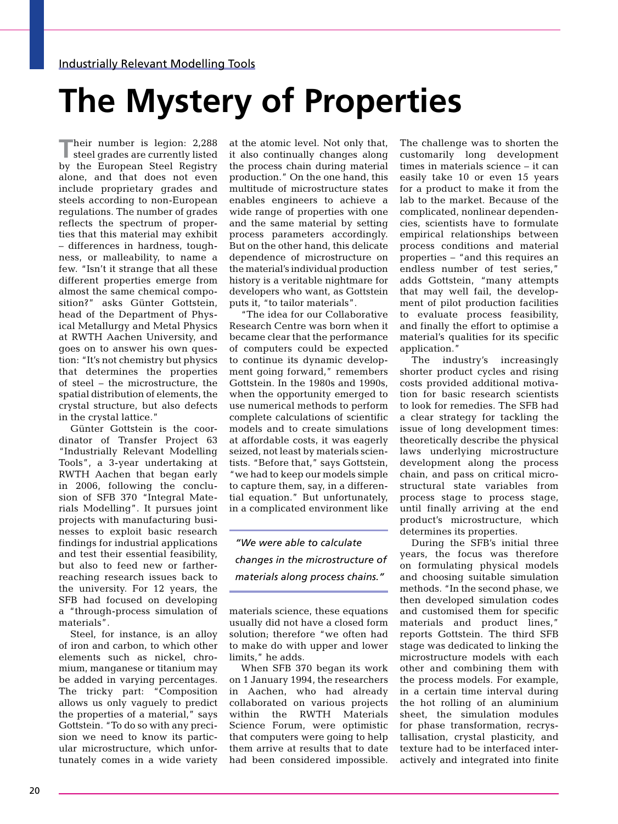# **The Mystery of Properties**

**Their number is legion: 2,288**<br>steel grades are currently listed by the European Steel Registry alone, and that does not even include proprietary grades and steels according to non-European regulations. The number of grades reflects the spectrum of properties that this material may exhibit – differences in hardness, toughness, or malleability, to name a few. "Isn't it strange that all these different properties emerge from almost the same chemical composition?" asks Günter Gottstein, head of the Department of Physical Metallurgy and Metal Physics at RWTH Aachen University, and goes on to answer his own question: "It's not chemistry but physics that determines the properties of steel – the microstructure, the spatial distribution of elements, the crystal structure, but also defects in the crystal lattice."

Günter Gottstein is the coordinator of Transfer Project 63 "Industrially Relevant Modelling Tools", a 3-year undertaking at RWTH Aachen that began early in 2006, following the conclusion of SFB 370 "Integral Materials Modelling". It pursues joint projects with manufacturing businesses to exploit basic research findings for industrial applications and test their essential feasibility, but also to feed new or fartherreaching research issues back to the university. For 12 years, the SFB had focused on developing a "through-process simulation of materials".

Steel, for instance, is an alloy of iron and carbon, to which other elements such as nickel, chromium, manganese or titanium may be added in varying percentages. The tricky part: "Composition allows us only vaguely to predict the properties of a material," says Gottstein. "To do so with any precision we need to know its particular microstructure, which unfortunately comes in a wide variety

at the atomic level. Not only that, it also continually changes along the process chain during material production." On the one hand, this multitude of microstructure states enables engineers to achieve a wide range of properties with one and the same material by setting process parameters accordingly. But on the other hand, this delicate dependence of microstructure on the material's individual production history is a veritable nightmare for developers who want, as Gottstein puts it, "to tailor materials".

"The idea for our Collaborative Research Centre was born when it became clear that the performance of computers could be expected to continue its dynamic development going forward," remembers Gottstein. In the 1980s and 1990s, when the opportunity emerged to use numerical methods to perform complete calculations of scientific models and to create simulations at affordable costs, it was eagerly seized, not least by materials scientists. "Before that," says Gottstein, "we had to keep our models simple to capture them, say, in a differential equation." But unfortunately, in a complicated environment like

*"We were able to calculate changes in the microstructure of materials along process chains."*

materials science, these equations usually did not have a closed form solution; therefore "we often had to make do with upper and lower limits," he adds.

When SFB 370 began its work on 1 January 1994, the researchers in Aachen, who had already collaborated on various projects within the RWTH Materials Science Forum, were optimistic that computers were going to help them arrive at results that to date had been considered impossible.

The challenge was to shorten the customarily long development times in materials science – it can easily take 10 or even 15 years for a product to make it from the lab to the market. Because of the complicated, nonlinear dependencies, scientists have to formulate empirical relationships between process conditions and material properties – "and this requires an endless number of test series," adds Gottstein, "many attempts that may well fail, the development of pilot production facilities to evaluate process feasibility, and finally the effort to optimise a material's qualities for its specific application."

The industry's increasingly shorter product cycles and rising costs provided additional motivation for basic research scientists to look for remedies. The SFB had a clear strategy for tackling the issue of long development times: theoretically describe the physical laws underlying microstructure development along the process chain, and pass on critical microstructural state variables from process stage to process stage, until finally arriving at the end product's microstructure, which determines its properties.

During the SFB's initial three years, the focus was therefore on formulating physical models and choosing suitable simulation methods. "In the second phase, we then developed simulation codes and customised them for specific materials and product lines," reports Gottstein. The third SFB stage was dedicated to linking the microstructure models with each other and combining them with the process models. For example, in a certain time interval during the hot rolling of an aluminium sheet, the simulation modules for phase transformation, recrystallisation, crystal plasticity, and texture had to be interfaced interactively and integrated into finite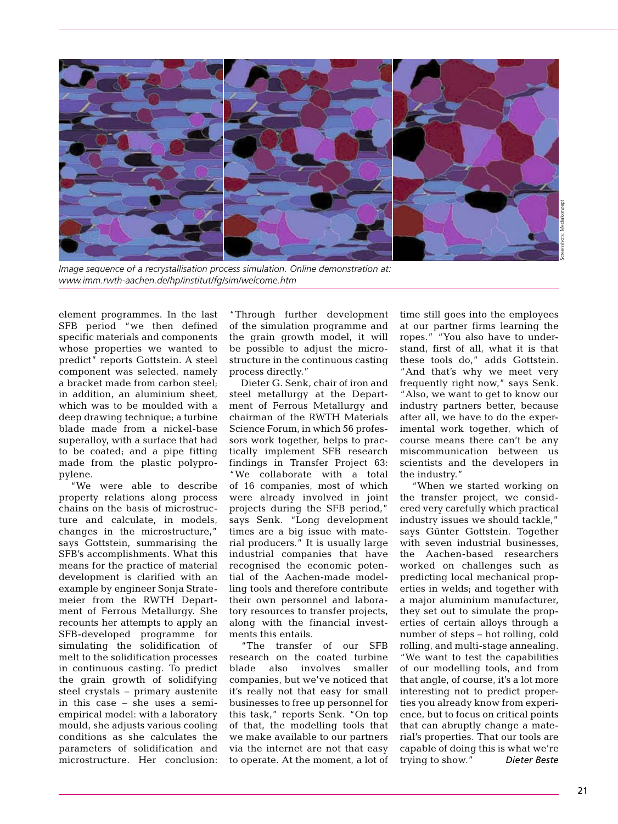

*Image sequence of a recrystallisation process simulation. Online demonstration at: [www.imm.rwth-aachen.de/hp/institut/fg/sim/welcome.htm](http://www.imm.rwth-aachen.de/)*

element programmes. In the last SFB period "we then defined specific materials and components whose properties we wanted to predict" reports Gottstein. A steel component was selected, namely a bracket made from carbon steel; in addition, an aluminium sheet, which was to be moulded with a deep drawing technique; a turbine blade made from a nickel-base superalloy, with a surface that had to be coated; and a pipe fitting made from the plastic polypropylene.

"We were able to describe property relations along process chains on the basis of microstructure and calculate, in models, changes in the microstructure," says Gottstein, summarising the SFB's accomplishments. What this means for the practice of material development is clarified with an example by engineer Sonja Stratemeier from the RWTH Department of Ferrous Metallurgy. She recounts her attempts to apply an SFB-developed programme for simulating the solidification of melt to the solidification processes in continuous casting. To predict the grain growth of solidifying steel crystals – primary austenite in this case – she uses a semiempirical model: with a laboratory mould, she adjusts various cooling conditions as she calculates the parameters of solidification and microstructure. Her conclusion:

"Through further development of the simulation programme and the grain growth model, it will be possible to adjust the microstructure in the continuous casting process directly."

Dieter G. Senk, chair of iron and steel metallurgy at the Department of Ferrous Metallurgy and chairman of the RWTH Materials Science Forum, in which 56 professors work together, helps to practically implement SFB research findings in Transfer Project 63: "We collaborate with a total of 16 companies, most of which were already involved in joint projects during the SFB period," says Senk. "Long development times are a big issue with material producers." It is usually large industrial companies that have recognised the economic potential of the Aachen-made modelling tools and therefore contribute their own personnel and laboratory resources to transfer projects, along with the financial investments this entails.

"The transfer of our SFB research on the coated turbine blade also involves smaller companies, but we've noticed that it's really not that easy for small businesses to free up personnel for this task," reports Senk. "On top of that, the modelling tools that we make available to our partners via the internet are not that easy to operate. At the moment, a lot of time still goes into the employees at our partner firms learning the ropes." "You also have to understand, first of all, what it is that these tools do," adds Gottstein. "And that's why we meet very frequently right now," says Senk. "Also, we want to get to know our industry partners better, because after all, we have to do the experimental work together, which of course means there can't be any miscommunication between us scientists and the developers in the industry."

"When we started working on the transfer project, we considered very carefully which practical industry issues we should tackle," says Günter Gottstein. Together with seven industrial businesses, the Aachen-based researchers worked on challenges such as predicting local mechanical properties in welds; and together with a major aluminium manufacturer, they set out to simulate the properties of certain alloys through a number of steps – hot rolling, cold rolling, and multi-stage annealing. "We want to test the capabilities of our modelling tools, and from that angle, of course, it's a lot more interesting not to predict properties you already know from experience, but to focus on critical points that can abruptly change a material's properties. That our tools are capable of doing this is what we're trying to show." *Dieter Beste*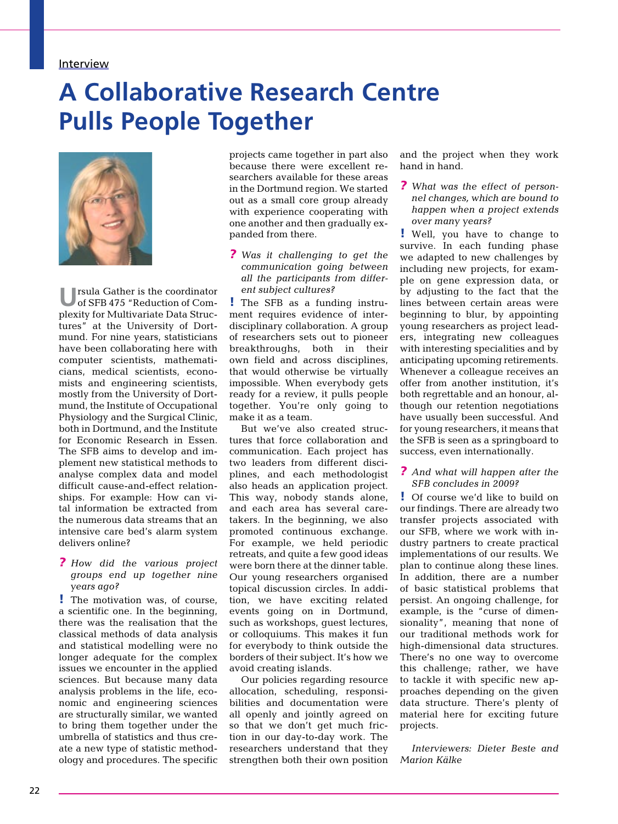#### **Interview**

### **A Collaborative Research Centre Pulls People Together**



**U**rsula Gather is the coordinator of SFB 475 "Reduction of Complexity for Multivariate Data Structures" at the University of Dortmund. For nine years, statisticians have been collaborating here with computer scientists, mathematicians, medical scientists, economists and engineering scientists, mostly from the University of Dortmund, the Institute of Occupational Physiology and the Surgical Clinic, both in Dortmund, and the Institute for Economic Research in Essen. The SFB aims to develop and implement new statistical methods to analyse complex data and model difficult cause-and-effect relationships. For example: How can vital information be extracted from the numerous data streams that an intensive care bed's alarm system delivers online?

#### *? How did the various project groups end up together nine years ago?*

! The motivation was, of course, a scientific one. In the beginning, there was the realisation that the classical methods of data analysis and statistical modelling were no longer adequate for the complex issues we encounter in the applied sciences. But because many data analysis problems in the life, economic and engineering sciences are structurally similar, we wanted to bring them together under the umbrella of statistics and thus create a new type of statistic methodology and procedures. The specific projects came together in part also because there were excellent researchers available for these areas in the Dortmund region. We started out as a small core group already with experience cooperating with one another and then gradually expanded from there.

*? Was it challenging to get the communication going between all the participants from different subject cultures?*

! The SFB as a funding instrument requires evidence of interdisciplinary collaboration. A group of researchers sets out to pioneer breakthroughs, both in their own field and across disciplines, that would otherwise be virtually impossible. When everybody gets ready for a review, it pulls people together. You're only going to make it as a team.

But we've also created structures that force collaboration and communication. Each project has two leaders from different disciplines, and each methodologist also heads an application project. This way, nobody stands alone, and each area has several caretakers. In the beginning, we also promoted continuous exchange. For example, we held periodic retreats, and quite a few good ideas were born there at the dinner table. Our young researchers organised topical discussion circles. In addition, we have exciting related events going on in Dortmund, such as workshops, guest lectures, or colloquiums. This makes it fun for everybody to think outside the borders of their subject. It's how we avoid creating islands.

Our policies regarding resource allocation, scheduling, responsibilities and documentation were all openly and jointly agreed on so that we don't get much friction in our day-to-day work. The researchers understand that they strengthen both their own position and the project when they work hand in hand.

*? What was the effect of personnel changes, which are bound to happen when a project extends over many years?*

! Well, you have to change to survive. In each funding phase we adapted to new challenges by including new projects, for example on gene expression data, or by adjusting to the fact that the lines between certain areas were beginning to blur, by appointing young researchers as project leaders, integrating new colleagues with interesting specialities and by anticipating upcoming retirements. Whenever a colleague receives an offer from another institution, it's both regrettable and an honour, although our retention negotiations have usually been successful. And for young researchers, it means that the SFB is seen as a springboard to success, even internationally.

#### *? And what will happen after the SFB concludes in 2009?*

! Of course we'd like to build on our findings. There are already two transfer projects associated with our SFB, where we work with industry partners to create practical implementations of our results. We plan to continue along these lines. In addition, there are a number of basic statistical problems that persist. An ongoing challenge, for example, is the "curse of dimensionality", meaning that none of our traditional methods work for high-dimensional data structures. There's no one way to overcome this challenge; rather, we have to tackle it with specific new approaches depending on the given data structure. There's plenty of material here for exciting future projects.

*Interviewers: Dieter Beste and Marion Kälke*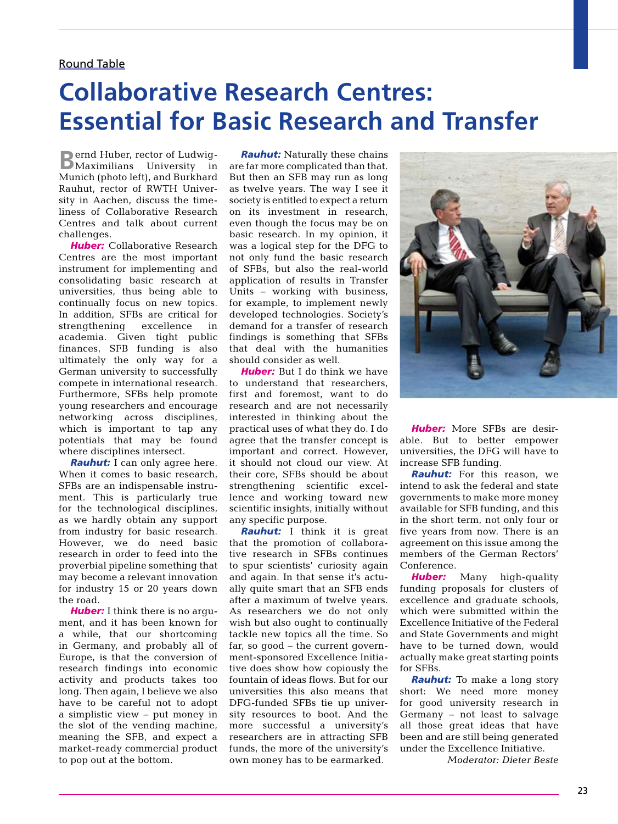#### Round Table

### **Collaborative Research Centres: Essential for Basic Research and Transfer**

**B**ernd Huber, rector of Ludwig-Maximilians University in Munich (photo left), and Burkhard Rauhut, rector of RWTH University in Aachen, discuss the timeliness of Collaborative Research Centres and talk about current challenges

**Huber:** Collaborative Research Centres are the most important instrument for implementing and consolidating basic research at universities, thus being able to continually focus on new topics. In addition, SFBs are critical for strengthening excellence in academia. Given tight public finances, SFB funding is also ultimately the only way for a German university to successfully compete in international research. Furthermore, SFBs help promote young researchers and encourage networking across disciplines, which is important to tap any potentials that may be found where disciplines intersect.

*Rauhut:* I can only agree here. When it comes to basic research, SFBs are an indispensable instrument. This is particularly true for the technological disciplines, as we hardly obtain any support from industry for basic research. However, we do need basic research in order to feed into the proverbial pipeline something that may become a relevant innovation for industry 15 or 20 years down the road.

*Huber:* I think there is no argument, and it has been known for a while, that our shortcoming in Germany, and probably all of Europe, is that the conversion of research findings into economic activity and products takes too long. Then again, I believe we also have to be careful not to adopt a simplistic view – put money in the slot of the vending machine, meaning the SFB, and expect a market-ready commercial product to pop out at the bottom.

*Rauhut:* Naturally these chains are far more complicated than that. But then an SFB may run as long as twelve years. The way I see it society is entitled to expect a return on its investment in research, even though the focus may be on basic research. In my opinion, it was a logical step for the DFG to not only fund the basic research of SFBs, but also the real-world application of results in Transfer Units – working with business, for example, to implement newly developed technologies. Society's demand for a transfer of research findings is something that SFBs that deal with the humanities should consider as well.

**Huber:** But I do think we have to understand that researchers, first and foremost, want to do research and are not necessarily interested in thinking about the practical uses of what they do. I do agree that the transfer concept is important and correct. However, it should not cloud our view. At their core, SFBs should be about strengthening scientific excellence and working toward new scientific insights, initially without any specific purpose.

*Rauhut:* I think it is great that the promotion of collaborative research in SFBs continues to spur scientists' curiosity again and again. In that sense it's actually quite smart that an SFB ends after a maximum of twelve years. As researchers we do not only wish but also ought to continually tackle new topics all the time. So far, so good – the current government-sponsored Excellence Initiative does show how copiously the fountain of ideas flows. But for our universities this also means that DFG-funded SFBs tie up university resources to boot. And the more successful a university's researchers are in attracting SFB funds, the more of the university's own money has to be earmarked.



*Huber:* More SFBs are desirable. But to better empower universities, the DFG will have to increase SFB funding.

*Rauhut:* For this reason, we intend to ask the federal and state governments to make more money available for SFB funding, and this in the short term, not only four or five years from now. There is an agreement on this issue among the members of the German Rectors' Conference.

*Huber:* Many high-quality funding proposals for clusters of excellence and graduate schools, which were submitted within the Excellence Initiative of the Federal and State Governments and might have to be turned down, would actually make great starting points for SFBs.

*Rauhut:* To make a long story short: We need more money for good university research in Germany – not least to salvage all those great ideas that have been and are still being generated under the Excellence Initiative.

*Moderator: Dieter Beste*